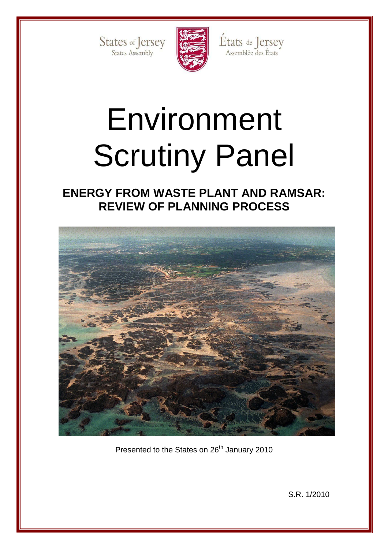States of Jersey



États de Jersey<br>Assemblée des États

# Environment Scrutiny Panel

**ENERGY FROM WASTE PLANT AND RAMSAR: REVIEW OF PLANNING PROCESS** 



Presented to the States on 26<sup>th</sup> January 2010

S.R. 1/2010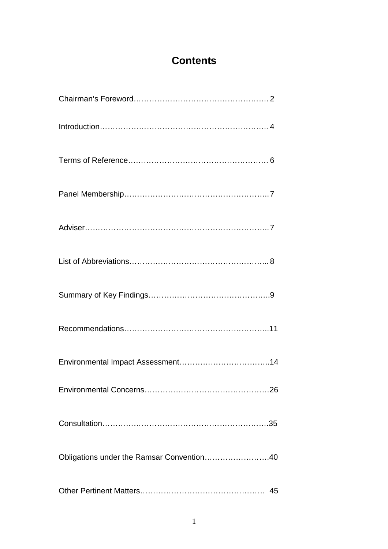# **Contents**

| Obligations under the Ramsar Convention40 |
|-------------------------------------------|
|                                           |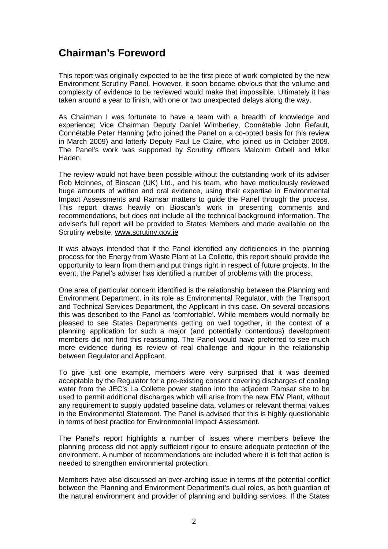# **Chairman's Foreword**

This report was originally expected to be the first piece of work completed by the new Environment Scrutiny Panel. However, it soon became obvious that the volume and complexity of evidence to be reviewed would make that impossible. Ultimately it has taken around a year to finish, with one or two unexpected delays along the way.

As Chairman I was fortunate to have a team with a breadth of knowledge and experience; Vice Chairman Deputy Daniel Wimberley, Connétable John Refault, Connétable Peter Hanning (who joined the Panel on a co-opted basis for this review in March 2009) and latterly Deputy Paul Le Claire, who joined us in October 2009. The Panel's work was supported by Scrutiny officers Malcolm Orbell and Mike Haden.

The review would not have been possible without the outstanding work of its adviser Rob McInnes, of Bioscan (UK) Ltd., and his team, who have meticulously reviewed huge amounts of written and oral evidence, using their expertise in Environmental Impact Assessments and Ramsar matters to guide the Panel through the process. This report draws heavily on Bioscan's work in presenting comments and recommendations, but does not include all the technical background information. The adviser's full report will be provided to States Members and made available on the Scrutiny website, www.scrutiny.gov.je

It was always intended that if the Panel identified any deficiencies in the planning process for the Energy from Waste Plant at La Collette, this report should provide the opportunity to learn from them and put things right in respect of future projects. In the event, the Panel's adviser has identified a number of problems with the process.

One area of particular concern identified is the relationship between the Planning and Environment Department, in its role as Environmental Regulator, with the Transport and Technical Services Department, the Applicant in this case. On several occasions this was described to the Panel as 'comfortable'. While members would normally be pleased to see States Departments getting on well together, in the context of a planning application for such a major (and potentially contentious) development members did not find this reassuring. The Panel would have preferred to see much more evidence during its review of real challenge and rigour in the relationship between Regulator and Applicant.

To give just one example, members were very surprised that it was deemed acceptable by the Regulator for a pre-existing consent covering discharges of cooling water from the JEC's La Collette power station into the adjacent Ramsar site to be used to permit additional discharges which will arise from the new EfW Plant, without any requirement to supply updated baseline data, volumes or relevant thermal values in the Environmental Statement. The Panel is advised that this is highly questionable in terms of best practice for Environmental Impact Assessment.

The Panel's report highlights a number of issues where members believe the planning process did not apply sufficient rigour to ensure adequate protection of the environment. A number of recommendations are included where it is felt that action is needed to strengthen environmental protection.

Members have also discussed an over-arching issue in terms of the potential conflict between the Planning and Environment Department's dual roles, as both guardian of the natural environment and provider of planning and building services. If the States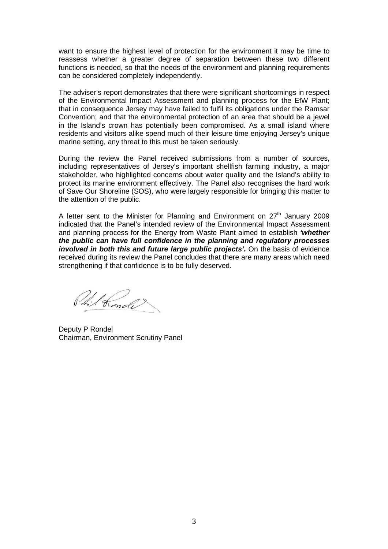want to ensure the highest level of protection for the environment it may be time to reassess whether a greater degree of separation between these two different functions is needed, so that the needs of the environment and planning requirements can be considered completely independently.

The adviser's report demonstrates that there were significant shortcomings in respect of the Environmental Impact Assessment and planning process for the EfW Plant; that in consequence Jersey may have failed to fulfil its obligations under the Ramsar Convention; and that the environmental protection of an area that should be a jewel in the Island's crown has potentially been compromised. As a small island where residents and visitors alike spend much of their leisure time enjoying Jersey's unique marine setting, any threat to this must be taken seriously.

During the review the Panel received submissions from a number of sources, including representatives of Jersey's important shellfish farming industry, a major stakeholder, who highlighted concerns about water quality and the Island's ability to protect its marine environment effectively. The Panel also recognises the hard work of Save Our Shoreline (SOS), who were largely responsible for bringing this matter to the attention of the public.

A letter sent to the Minister for Planning and Environment on  $27<sup>th</sup>$  January 2009 indicated that the Panel's intended review of the Environmental Impact Assessment and planning process for the Energy from Waste Plant aimed to establish **'whether the public can have full confidence in the planning and regulatory processes involved in both this and future large public projects'.** On the basis of evidence received during its review the Panel concludes that there are many areas which need strengthening if that confidence is to be fully deserved.

Phil Konde

Deputy P Rondel Chairman, Environment Scrutiny Panel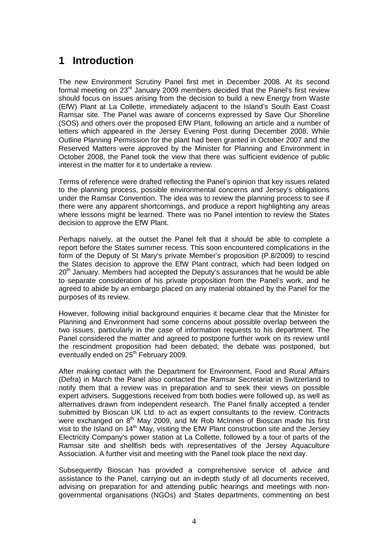# **1 Introduction**

The new Environment Scrutiny Panel first met in December 2008. At its second formal meeting on 23<sup>rd</sup> January 2009 members decided that the Panel's first review should focus on issues arising from the decision to build a new Energy from Waste (EfW) Plant at La Collette, immediately adjacent to the Island's South East Coast Ramsar site. The Panel was aware of concerns expressed by Save Our Shoreline (SOS) and others over the proposed EfW Plant, following an article and a number of letters which appeared in the Jersey Evening Post during December 2008. While Outline Planning Permission for the plant had been granted in October 2007 and the Reserved Matters were approved by the Minister for Planning and Environment in October 2008, the Panel took the view that there was sufficient evidence of public interest in the matter for it to undertake a review.

Terms of reference were drafted reflecting the Panel's opinion that key issues related to the planning process, possible environmental concerns and Jersey's obligations under the Ramsar Convention. The idea was to review the planning process to see if there were any apparent shortcomings, and produce a report highlighting any areas where lessons might be learned. There was no Panel intention to review the States decision to approve the EfW Plant.

Perhaps naively, at the outset the Panel felt that it should be able to complete a report before the States summer recess. This soon encountered complications in the form of the Deputy of St Mary's private Member's proposition (P.8/2009) to rescind the States decision to approve the EfW Plant contract, which had been lodged on 20<sup>th</sup> January. Members had accepted the Deputy's assurances that he would be able to separate consideration of his private proposition from the Panel's work, and he agreed to abide by an embargo placed on any material obtained by the Panel for the purposes of its review.

However, following initial background enquiries it became clear that the Minister for Planning and Environment had some concerns about possible overlap between the two issues, particularly in the case of information requests to his department. The Panel considered the matter and agreed to postpone further work on its review until the rescindment proposition had been debated; the debate was postponed, but eventually ended on 25<sup>th</sup> February 2009.

After making contact with the Department for Environment, Food and Rural Affairs (Defra) in March the Panel also contacted the Ramsar Secretariat in Switzerland to notify them that a review was in preparation and to seek their views on possible expert advisers. Suggestions received from both bodies were followed up, as well as alternatives drawn from independent research. The Panel finally accepted a tender submitted by Bioscan UK Ltd. to act as expert consultants to the review. Contracts were exchanged on  $8<sup>th</sup>$  May 2009, and Mr Rob McInnes of Bioscan made his first visit to the Island on  $14<sup>th</sup>$  May, visiting the EfW Plant construction site and the Jersey Electricity Company's power station at La Collette, followed by a tour of parts of the Ramsar site and shellfish beds with representatives of the Jersey Aquaculture Association. A further visit and meeting with the Panel took place the next day.

Subsequently Bioscan has provided a comprehensive service of advice and assistance to the Panel, carrying out an in-depth study of all documents received, advising on preparation for and attending public hearings and meetings with nongovernmental organisations (NGOs) and States departments, commenting on best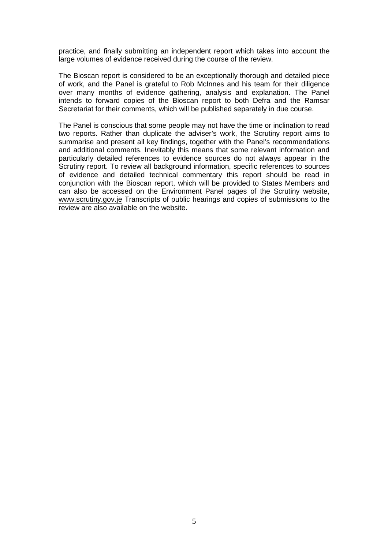practice, and finally submitting an independent report which takes into account the large volumes of evidence received during the course of the review.

The Bioscan report is considered to be an exceptionally thorough and detailed piece of work, and the Panel is grateful to Rob McInnes and his team for their diligence over many months of evidence gathering, analysis and explanation. The Panel intends to forward copies of the Bioscan report to both Defra and the Ramsar Secretariat for their comments, which will be published separately in due course.

The Panel is conscious that some people may not have the time or inclination to read two reports. Rather than duplicate the adviser's work, the Scrutiny report aims to summarise and present all key findings, together with the Panel's recommendations and additional comments. Inevitably this means that some relevant information and particularly detailed references to evidence sources do not always appear in the Scrutiny report. To review all background information, specific references to sources of evidence and detailed technical commentary this report should be read in conjunction with the Bioscan report, which will be provided to States Members and can also be accessed on the Environment Panel pages of the Scrutiny website, www.scrutiny.gov.je Transcripts of public hearings and copies of submissions to the review are also available on the website.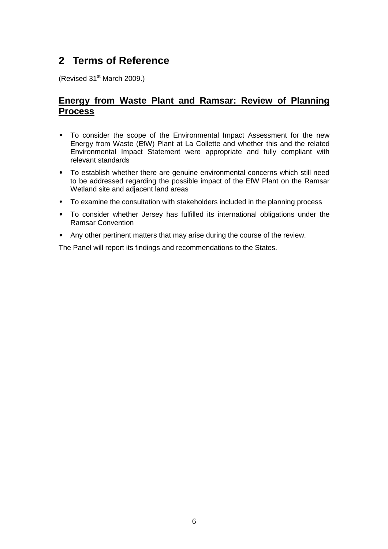# **2 Terms of Reference**

(Revised 31<sup>st</sup> March 2009.)

# **Energy from Waste Plant and Ramsar: Review of Planning Process**

- To consider the scope of the Environmental Impact Assessment for the new Energy from Waste (EfW) Plant at La Collette and whether this and the related Environmental Impact Statement were appropriate and fully compliant with relevant standards
- To establish whether there are genuine environmental concerns which still need to be addressed regarding the possible impact of the EfW Plant on the Ramsar Wetland site and adjacent land areas
- To examine the consultation with stakeholders included in the planning process
- To consider whether Jersey has fulfilled its international obligations under the Ramsar Convention
- Any other pertinent matters that may arise during the course of the review.

The Panel will report its findings and recommendations to the States.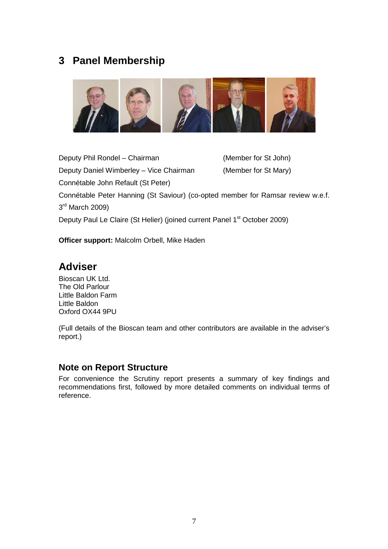# **3 Panel Membership**



Deputy Phil Rondel – Chairman (Member for St John) Deputy Daniel Wimberley – Vice Chairman (Member for St Mary) Connétable John Refault (St Peter) Connétable Peter Hanning (St Saviour) (co-opted member for Ramsar review w.e.f. 3<sup>rd</sup> March 2009) Deputy Paul Le Claire (St Helier) (joined current Panel 1<sup>st</sup> October 2009)

**Officer support:** Malcolm Orbell, Mike Haden

# **Adviser**

Bioscan UK Ltd. The Old Parlour Little Baldon Farm Little Baldon Oxford OX44 9PU

(Full details of the Bioscan team and other contributors are available in the adviser's report.)

## **Note on Report Structure**

For convenience the Scrutiny report presents a summary of key findings and recommendations first, followed by more detailed comments on individual terms of reference.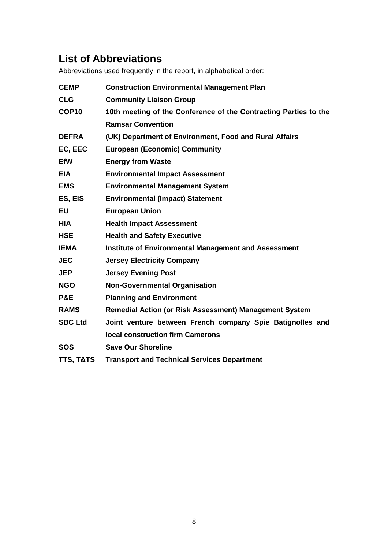# **List of Abbreviations**

Abbreviations used frequently in the report, in alphabetical order:

| <b>Construction Environmental Management Plan</b>                |
|------------------------------------------------------------------|
| <b>Community Liaison Group</b>                                   |
| 10th meeting of the Conference of the Contracting Parties to the |
| <b>Ramsar Convention</b>                                         |
| (UK) Department of Environment, Food and Rural Affairs           |
| <b>European (Economic) Community</b>                             |
| <b>Energy from Waste</b>                                         |
| <b>Environmental Impact Assessment</b>                           |
| <b>Environmental Management System</b>                           |
| <b>Environmental (Impact) Statement</b>                          |
| <b>European Union</b>                                            |
| <b>Health Impact Assessment</b>                                  |
| <b>Health and Safety Executive</b>                               |
| <b>Institute of Environmental Management and Assessment</b>      |
| <b>Jersey Electricity Company</b>                                |
| <b>Jersey Evening Post</b>                                       |
| <b>Non-Governmental Organisation</b>                             |
| <b>Planning and Environment</b>                                  |
| Remedial Action (or Risk Assessment) Management System           |
| Joint venture between French company Spie Batignolles and        |
| <b>local construction firm Camerons</b>                          |
| <b>Save Our Shoreline</b>                                        |
| <b>Transport and Technical Services Department</b>               |
|                                                                  |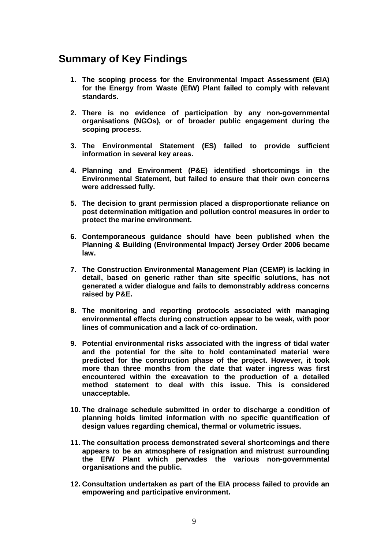# **Summary of Key Findings**

- **1. The scoping process for the Environmental Impact Assessment (EIA) for the Energy from Waste (EfW) Plant failed to comply with relevant standards.**
- **2. There is no evidence of participation by any non-governmental organisations (NGOs), or of broader public engagement during the scoping process.**
- **3. The Environmental Statement (ES) failed to provide sufficient information in several key areas.**
- **4. Planning and Environment (P&E) identified shortcomings in the Environmental Statement, but failed to ensure that their own concerns were addressed fully.**
- **5. The decision to grant permission placed a disproportionate reliance on post determination mitigation and pollution control measures in order to protect the marine environment.**
- **6. Contemporaneous guidance should have been published when the Planning & Building (Environmental Impact) Jersey Order 2006 became law.**
- **7. The Construction Environmental Management Plan (CEMP) is lacking in detail, based on generic rather than site specific solutions, has not generated a wider dialogue and fails to demonstrably address concerns raised by P&E.**
- **8. The monitoring and reporting protocols associated with managing environmental effects during construction appear to be weak, with poor lines of communication and a lack of co-ordination.**
- **9. Potential environmental risks associated with the ingress of tidal water and the potential for the site to hold contaminated material were predicted for the construction phase of the project. However, it took more than three months from the date that water ingress was first encountered within the excavation to the production of a detailed method statement to deal with this issue. This is considered unacceptable.**
- **10. The drainage schedule submitted in order to discharge a condition of planning holds limited information with no specific quantification of design values regarding chemical, thermal or volumetric issues.**
- **11. The consultation process demonstrated several shortcomings and there appears to be an atmosphere of resignation and mistrust surrounding the EfW Plant which pervades the various non-governmental organisations and the public.**
- **12. Consultation undertaken as part of the EIA process failed to provide an empowering and participative environment.**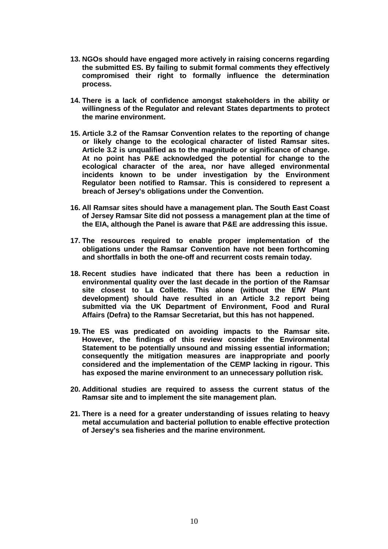- **13. NGOs should have engaged more actively in raising concerns regarding the submitted ES. By failing to submit formal comments they effectively compromised their right to formally influence the determination process.**
- **14. There is a lack of confidence amongst stakeholders in the ability or willingness of the Regulator and relevant States departments to protect the marine environment.**
- **15. Article 3.2 of the Ramsar Convention relates to the reporting of change or likely change to the ecological character of listed Ramsar sites. Article 3.2 is unqualified as to the magnitude or significance of change. At no point has P&E acknowledged the potential for change to the ecological character of the area, nor have alleged environmental incidents known to be under investigation by the Environment Regulator been notified to Ramsar. This is considered to represent a breach of Jersey's obligations under the Convention.**
- **16. All Ramsar sites should have a management plan. The South East Coast of Jersey Ramsar Site did not possess a management plan at the time of the EIA, although the Panel is aware that P&E are addressing this issue.**
- **17. The resources required to enable proper implementation of the obligations under the Ramsar Convention have not been forthcoming and shortfalls in both the one-off and recurrent costs remain today.**
- **18. Recent studies have indicated that there has been a reduction in environmental quality over the last decade in the portion of the Ramsar site closest to La Collette. This alone (without the EfW Plant development) should have resulted in an Article 3.2 report being submitted via the UK Department of Environment, Food and Rural Affairs (Defra) to the Ramsar Secretariat, but this has not happened.**
- **19. The ES was predicated on avoiding impacts to the Ramsar site. However, the findings of this review consider the Environmental Statement to be potentially unsound and missing essential information; consequently the mitigation measures are inappropriate and poorly considered and the implementation of the CEMP lacking in rigour. This has exposed the marine environment to an unnecessary pollution risk.**
- **20. Additional studies are required to assess the current status of the Ramsar site and to implement the site management plan.**
- **21. There is a need for a greater understanding of issues relating to heavy metal accumulation and bacterial pollution to enable effective protection of Jersey's sea fisheries and the marine environment.**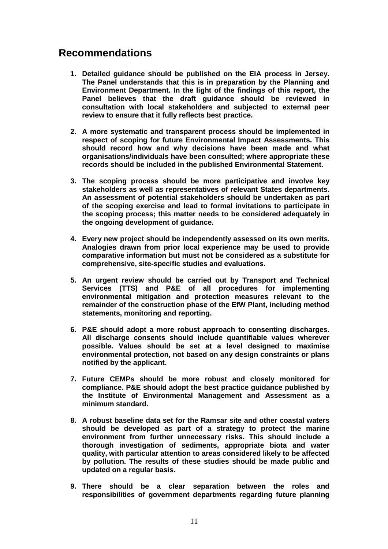# **Recommendations**

- **1. Detailed guidance should be published on the EIA process in Jersey. The Panel understands that this is in preparation by the Planning and Environment Department. In the light of the findings of this report, the Panel believes that the draft guidance should be reviewed in consultation with local stakeholders and subjected to external peer review to ensure that it fully reflects best practice.**
- **2. A more systematic and transparent process should be implemented in respect of scoping for future Environmental Impact Assessments. This should record how and why decisions have been made and what organisations/individuals have been consulted; where appropriate these records should be included in the published Environmental Statement.**
- **3. The scoping process should be more participative and involve key stakeholders as well as representatives of relevant States departments. An assessment of potential stakeholders should be undertaken as part of the scoping exercise and lead to formal invitations to participate in the scoping process; this matter needs to be considered adequately in the ongoing development of guidance.**
- **4. Every new project should be independently assessed on its own merits. Analogies drawn from prior local experience may be used to provide comparative information but must not be considered as a substitute for comprehensive, site-specific studies and evaluations.**
- **5. An urgent review should be carried out by Transport and Technical Services (TTS) and P&E of all procedures for implementing environmental mitigation and protection measures relevant to the remainder of the construction phase of the EfW Plant, including method statements, monitoring and reporting.**
- **6. P&E should adopt a more robust approach to consenting discharges. All discharge consents should include quantifiable values wherever possible. Values should be set at a level designed to maximise environmental protection, not based on any design constraints or plans notified by the applicant.**
- **7. Future CEMPs should be more robust and closely monitored for compliance. P&E should adopt the best practice guidance published by the Institute of Environmental Management and Assessment as a minimum standard.**
- **8. A robust baseline data set for the Ramsar site and other coastal waters should be developed as part of a strategy to protect the marine environment from further unnecessary risks. This should include a thorough investigation of sediments, appropriate biota and water quality, with particular attention to areas considered likely to be affected by pollution. The results of these studies should be made public and updated on a regular basis.**
- **9. There should be a clear separation between the roles and responsibilities of government departments regarding future planning**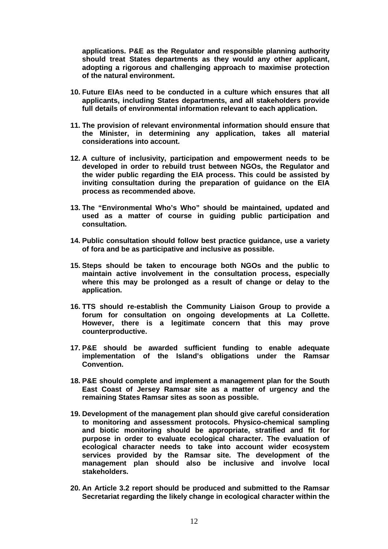**applications. P&E as the Regulator and responsible planning authority should treat States departments as they would any other applicant, adopting a rigorous and challenging approach to maximise protection of the natural environment.** 

- **10. Future EIAs need to be conducted in a culture which ensures that all applicants, including States departments, and all stakeholders provide full details of environmental information relevant to each application.**
- **11. The provision of relevant environmental information should ensure that the Minister, in determining any application, takes all material considerations into account.**
- **12. A culture of inclusivity, participation and empowerment needs to be developed in order to rebuild trust between NGOs, the Regulator and the wider public regarding the EIA process. This could be assisted by inviting consultation during the preparation of guidance on the EIA process as recommended above.**
- **13. The "Environmental Who's Who" should be maintained, updated and used as a matter of course in guiding public participation and consultation.**
- **14. Public consultation should follow best practice guidance, use a variety of fora and be as participative and inclusive as possible.**
- **15. Steps should be taken to encourage both NGOs and the public to maintain active involvement in the consultation process, especially where this may be prolonged as a result of change or delay to the application.**
- **16. TTS should re-establish the Community Liaison Group to provide a forum for consultation on ongoing developments at La Collette. However, there is a legitimate concern that this may prove counterproductive.**
- **17. P&E should be awarded sufficient funding to enable adequate implementation of the Island's obligations under the Ramsar Convention.**
- **18. P&E should complete and implement a management plan for the South East Coast of Jersey Ramsar site as a matter of urgency and the remaining States Ramsar sites as soon as possible.**
- **19. Development of the management plan should give careful consideration to monitoring and assessment protocols. Physico-chemical sampling and biotic monitoring should be appropriate, stratified and fit for purpose in order to evaluate ecological character. The evaluation of ecological character needs to take into account wider ecosystem services provided by the Ramsar site. The development of the management plan should also be inclusive and involve local stakeholders.**
- **20. An Article 3.2 report should be produced and submitted to the Ramsar Secretariat regarding the likely change in ecological character within the**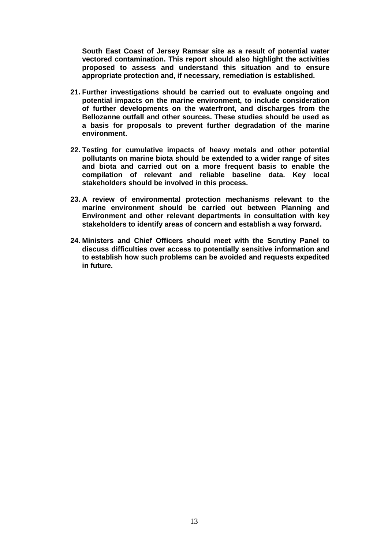**South East Coast of Jersey Ramsar site as a result of potential water vectored contamination. This report should also highlight the activities proposed to assess and understand this situation and to ensure appropriate protection and, if necessary, remediation is established.** 

- **21. Further investigations should be carried out to evaluate ongoing and potential impacts on the marine environment, to include consideration of further developments on the waterfront, and discharges from the Bellozanne outfall and other sources. These studies should be used as a basis for proposals to prevent further degradation of the marine environment.**
- **22. Testing for cumulative impacts of heavy metals and other potential pollutants on marine biota should be extended to a wider range of sites and biota and carried out on a more frequent basis to enable the compilation of relevant and reliable baseline data. Key local stakeholders should be involved in this process.**
- **23. A review of environmental protection mechanisms relevant to the marine environment should be carried out between Planning and Environment and other relevant departments in consultation with key stakeholders to identify areas of concern and establish a way forward.**
- **24. Ministers and Chief Officers should meet with the Scrutiny Panel to discuss difficulties over access to potentially sensitive information and to establish how such problems can be avoided and requests expedited in future.**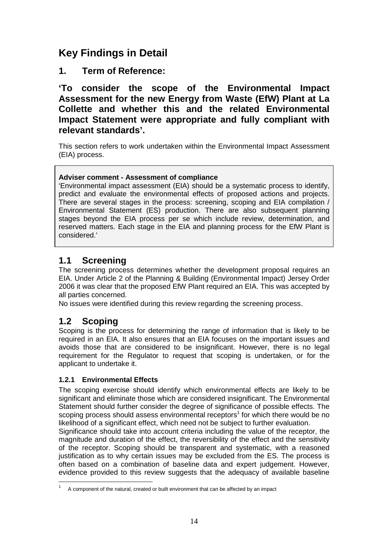# **Key Findings in Detail**

**1. Term of Reference:** 

**'To consider the scope of the Environmental Impact Assessment for the new Energy from Waste (EfW) Plant at La Collette and whether this and the related Environmental Impact Statement were appropriate and fully compliant with relevant standards'.** 

This section refers to work undertaken within the Environmental Impact Assessment (EIA) process.

## **Adviser comment - Assessment of compliance**

'Environmental impact assessment (EIA) should be a systematic process to identify, predict and evaluate the environmental effects of proposed actions and projects. There are several stages in the process: screening, scoping and EIA compilation / Environmental Statement (ES) production. There are also subsequent planning stages beyond the EIA process per se which include review, determination, and reserved matters. Each stage in the EIA and planning process for the EfW Plant is considered.'

# **1.1 Screening**

The screening process determines whether the development proposal requires an EIA. Under Article 2 of the Planning & Building (Environmental Impact) Jersey Order 2006 it was clear that the proposed EfW Plant required an EIA. This was accepted by all parties concerned.

No issues were identified during this review regarding the screening process.

# **1.2 Scoping**

Scoping is the process for determining the range of information that is likely to be required in an EIA. It also ensures that an EIA focuses on the important issues and avoids those that are considered to be insignificant. However, there is no legal requirement for the Regulator to request that scoping is undertaken, or for the applicant to undertake it.

## **1.2.1 Environmental Effects**

The scoping exercise should identify which environmental effects are likely to be significant and eliminate those which are considered insignificant. The Environmental Statement should further consider the degree of significance of possible effects. The scoping process should assess environmental receptors<sup>1</sup> for which there would be no likelihood of a significant effect, which need not be subject to further evaluation.

Significance should take into account criteria including the value of the receptor, the magnitude and duration of the effect, the reversibility of the effect and the sensitivity of the receptor. Scoping should be transparent and systematic, with a reasoned justification as to why certain issues may be excluded from the ES. The process is often based on a combination of baseline data and expert judgement. However, evidence provided to this review suggests that the adequacy of available baseline  $\overline{a}$ 

<sup>1</sup> A component of the natural, created or built environment that can be affected by an impact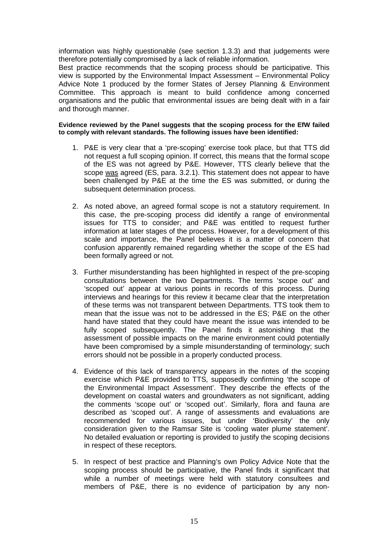information was highly questionable (see section 1.3.3) and that judgements were therefore potentially compromised by a lack of reliable information.

Best practice recommends that the scoping process should be participative. This view is supported by the Environmental Impact Assessment – Environmental Policy Advice Note 1 produced by the former States of Jersey Planning & Environment Committee. This approach is meant to build confidence among concerned organisations and the public that environmental issues are being dealt with in a fair and thorough manner.

#### **Evidence reviewed by the Panel suggests that the scoping process for the EfW failed to comply with relevant standards. The following issues have been identified:**

- 1. P&E is very clear that a 'pre-scoping' exercise took place, but that TTS did not request a full scoping opinion. If correct, this means that the formal scope of the ES was not agreed by P&E. However, TTS clearly believe that the scope was agreed (ES, para. 3.2.1). This statement does not appear to have been challenged by P&E at the time the ES was submitted, or during the subsequent determination process.
- 2. As noted above, an agreed formal scope is not a statutory requirement. In this case, the pre-scoping process did identify a range of environmental issues for TTS to consider; and P&E was entitled to request further information at later stages of the process. However, for a development of this scale and importance, the Panel believes it is a matter of concern that confusion apparently remained regarding whether the scope of the ES had been formally agreed or not.
- 3. Further misunderstanding has been highlighted in respect of the pre-scoping consultations between the two Departments. The terms 'scope out' and 'scoped out' appear at various points in records of this process. During interviews and hearings for this review it became clear that the interpretation of these terms was not transparent between Departments. TTS took them to mean that the issue was not to be addressed in the ES; P&E on the other hand have stated that they could have meant the issue was intended to be fully scoped subsequently. The Panel finds it astonishing that the assessment of possible impacts on the marine environment could potentially have been compromised by a simple misunderstanding of terminology; such errors should not be possible in a properly conducted process.
- 4. Evidence of this lack of transparency appears in the notes of the scoping exercise which P&E provided to TTS, supposedly confirming 'the scope of the Environmental Impact Assessment'. They describe the effects of the development on coastal waters and groundwaters as not significant, adding the comments 'scope out' or 'scoped out'. Similarly, flora and fauna are described as 'scoped out'. A range of assessments and evaluations are recommended for various issues, but under 'Biodiversity' the only consideration given to the Ramsar Site is 'cooling water plume statement'. No detailed evaluation or reporting is provided to justify the scoping decisions in respect of these receptors.
- 5. In respect of best practice and Planning's own Policy Advice Note that the scoping process should be participative, the Panel finds it significant that while a number of meetings were held with statutory consultees and members of P&E, there is no evidence of participation by any non-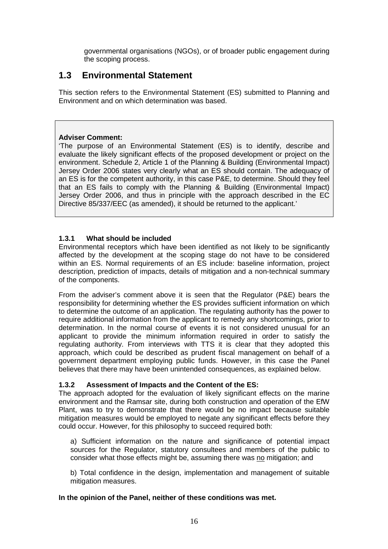governmental organisations (NGOs), or of broader public engagement during the scoping process.

# **1.3 Environmental Statement**

This section refers to the Environmental Statement (ES) submitted to Planning and Environment and on which determination was based.

#### **Adviser Comment:**

'The purpose of an Environmental Statement (ES) is to identify, describe and evaluate the likely significant effects of the proposed development or project on the environment. Schedule 2, Article 1 of the Planning & Building (Environmental Impact) Jersey Order 2006 states very clearly what an ES should contain. The adequacy of an ES is for the competent authority, in this case P&E, to determine. Should they feel that an ES fails to comply with the Planning & Building (Environmental Impact) Jersey Order 2006, and thus in principle with the approach described in the EC Directive 85/337/EEC (as amended), it should be returned to the applicant.'

#### **1.3.1 What should be included**

Environmental receptors which have been identified as not likely to be significantly affected by the development at the scoping stage do not have to be considered within an ES. Normal requirements of an ES include: baseline information, project description, prediction of impacts, details of mitigation and a non-technical summary of the components.

From the adviser's comment above it is seen that the Regulator (P&E) bears the responsibility for determining whether the ES provides sufficient information on which to determine the outcome of an application. The regulating authority has the power to require additional information from the applicant to remedy any shortcomings, prior to determination. In the normal course of events it is not considered unusual for an applicant to provide the minimum information required in order to satisfy the regulating authority. From interviews with TTS it is clear that they adopted this approach, which could be described as prudent fiscal management on behalf of a government department employing public funds. However, in this case the Panel believes that there may have been unintended consequences, as explained below.

#### **1.3.2 Assessment of Impacts and the Content of the ES:**

The approach adopted for the evaluation of likely significant effects on the marine environment and the Ramsar site, during both construction and operation of the EfW Plant, was to try to demonstrate that there would be no impact because suitable mitigation measures would be employed to negate any significant effects before they could occur. However, for this philosophy to succeed required both:

a) Sufficient information on the nature and significance of potential impact sources for the Regulator, statutory consultees and members of the public to consider what those effects might be, assuming there was no mitigation; and

b) Total confidence in the design, implementation and management of suitable mitigation measures.

#### **In the opinion of the Panel, neither of these conditions was met.**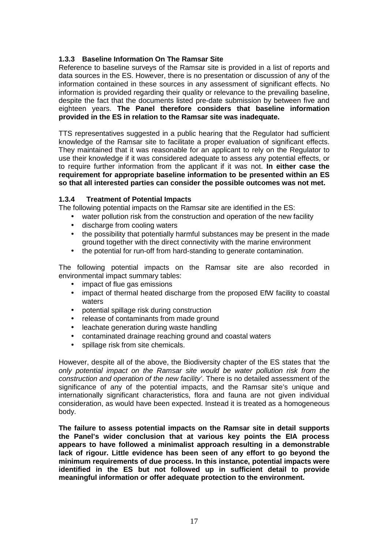#### **1.3.3 Baseline Information On The Ramsar Site**

Reference to baseline surveys of the Ramsar site is provided in a list of reports and data sources in the ES. However, there is no presentation or discussion of any of the information contained in these sources in any assessment of significant effects. No information is provided regarding their quality or relevance to the prevailing baseline, despite the fact that the documents listed pre-date submission by between five and eighteen years. **The Panel therefore considers that baseline information provided in the ES in relation to the Ramsar site was inadequate.**

TTS representatives suggested in a public hearing that the Regulator had sufficient knowledge of the Ramsar site to facilitate a proper evaluation of significant effects. They maintained that it was reasonable for an applicant to rely on the Regulator to use their knowledge if it was considered adequate to assess any potential effects, or to require further information from the applicant if it was not. **In either case the requirement for appropriate baseline information to be presented within an ES so that all interested parties can consider the possible outcomes was not met.**

#### **1.3.4 Treatment of Potential Impacts**

The following potential impacts on the Ramsar site are identified in the ES:

- water pollution risk from the construction and operation of the new facility
- discharge from cooling waters
- the possibility that potentially harmful substances may be present in the made ground together with the direct connectivity with the marine environment
- the potential for run-off from hard-standing to generate contamination.

The following potential impacts on the Ramsar site are also recorded in environmental impact summary tables:

- impact of flue gas emissions
- impact of thermal heated discharge from the proposed EfW facility to coastal waters
- potential spillage risk during construction
- release of contaminants from made ground
- leachate generation during waste handling
- contaminated drainage reaching ground and coastal waters
- spillage risk from site chemicals.

However, despite all of the above, the Biodiversity chapter of the ES states that 'the only potential impact on the Ramsar site would be water pollution risk from the construction and operation of the new facility'. There is no detailed assessment of the significance of any of the potential impacts, and the Ramsar site's unique and internationally significant characteristics, flora and fauna are not given individual consideration, as would have been expected. Instead it is treated as a homogeneous body.

**The failure to assess potential impacts on the Ramsar site in detail supports the Panel's wider conclusion that at various key points the EIA process appears to have followed a minimalist approach resulting in a demonstrable lack of rigour. Little evidence has been seen of any effort to go beyond the minimum requirements of due process. In this instance, potential impacts were identified in the ES but not followed up in sufficient detail to provide meaningful information or offer adequate protection to the environment.**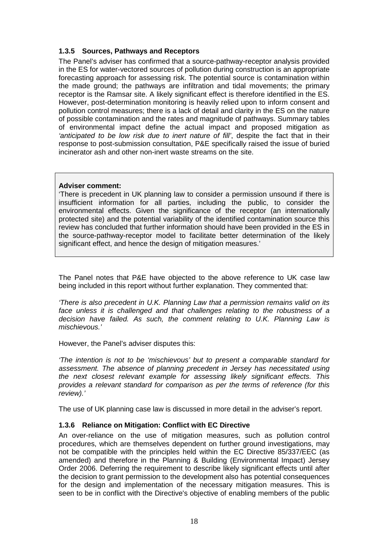#### **1.3.5 Sources, Pathways and Receptors**

The Panel's adviser has confirmed that a source-pathway-receptor analysis provided in the ES for water-vectored sources of pollution during construction is an appropriate forecasting approach for assessing risk. The potential source is contamination within the made ground; the pathways are infiltration and tidal movements; the primary receptor is the Ramsar site. A likely significant effect is therefore identified in the ES. However, post-determination monitoring is heavily relied upon to inform consent and pollution control measures; there is a lack of detail and clarity in the ES on the nature of possible contamination and the rates and magnitude of pathways. Summary tables of environmental impact define the actual impact and proposed mitigation as 'anticipated to be low risk due to inert nature of fill', despite the fact that in their response to post-submission consultation, P&E specifically raised the issue of buried incinerator ash and other non-inert waste streams on the site.

#### **Adviser comment:**

'There is precedent in UK planning law to consider a permission unsound if there is insufficient information for all parties, including the public, to consider the environmental effects. Given the significance of the receptor (an internationally protected site) and the potential variability of the identified contamination source this review has concluded that further information should have been provided in the ES in the source-pathway-receptor model to facilitate better determination of the likely significant effect, and hence the design of mitigation measures.'

The Panel notes that P&E have objected to the above reference to UK case law being included in this report without further explanation. They commented that:

'There is also precedent in U.K. Planning Law that a permission remains valid on its face unless it is challenged and that challenges relating to the robustness of a decision have failed. As such, the comment relating to U.K. Planning Law is mischievous.'

However, the Panel's adviser disputes this:

'The intention is not to be 'mischievous' but to present a comparable standard for assessment. The absence of planning precedent in Jersey has necessitated using the next closest relevant example for assessing likely significant effects. This provides a relevant standard for comparison as per the terms of reference (for this review).'

The use of UK planning case law is discussed in more detail in the adviser's report.

#### **1.3.6 Reliance on Mitigation: Conflict with EC Directive**

An over-reliance on the use of mitigation measures, such as pollution control procedures, which are themselves dependent on further ground investigations, may not be compatible with the principles held within the EC Directive 85/337/EEC (as amended) and therefore in the Planning & Building (Environmental Impact) Jersey Order 2006. Deferring the requirement to describe likely significant effects until after the decision to grant permission to the development also has potential consequences for the design and implementation of the necessary mitigation measures. This is seen to be in conflict with the Directive's objective of enabling members of the public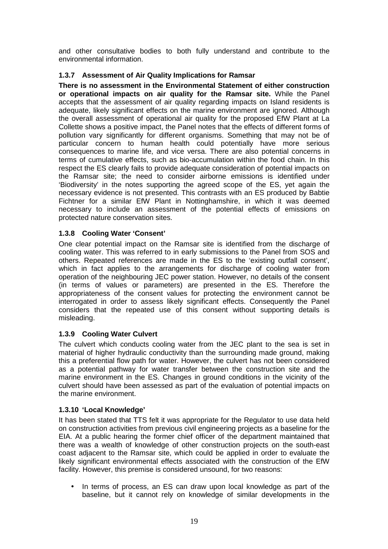and other consultative bodies to both fully understand and contribute to the environmental information.

#### **1.3.7 Assessment of Air Quality Implications for Ramsar**

**There is no assessment in the Environmental Statement of either construction or operational impacts on air quality for the Ramsar site.** While the Panel accepts that the assessment of air quality regarding impacts on Island residents is adequate, likely significant effects on the marine environment are ignored. Although the overall assessment of operational air quality for the proposed EfW Plant at La Collette shows a positive impact, the Panel notes that the effects of different forms of pollution vary significantly for different organisms. Something that may not be of particular concern to human health could potentially have more serious consequences to marine life, and vice versa. There are also potential concerns in terms of cumulative effects, such as bio-accumulation within the food chain. In this respect the ES clearly fails to provide adequate consideration of potential impacts on the Ramsar site; the need to consider airborne emissions is identified under 'Biodiversity' in the notes supporting the agreed scope of the ES, yet again the necessary evidence is not presented. This contrasts with an ES produced by Babtie Fichtner for a similar EfW Plant in Nottinghamshire, in which it was deemed necessary to include an assessment of the potential effects of emissions on protected nature conservation sites.

#### **1.3.8 Cooling Water 'Consent'**

One clear potential impact on the Ramsar site is identified from the discharge of cooling water. This was referred to in early submissions to the Panel from SOS and others. Repeated references are made in the ES to the 'existing outfall consent', which in fact applies to the arrangements for discharge of cooling water from operation of the neighbouring JEC power station. However, no details of the consent (in terms of values or parameters) are presented in the ES. Therefore the appropriateness of the consent values for protecting the environment cannot be interrogated in order to assess likely significant effects. Consequently the Panel considers that the repeated use of this consent without supporting details is misleading.

#### **1.3.9 Cooling Water Culvert**

The culvert which conducts cooling water from the JEC plant to the sea is set in material of higher hydraulic conductivity than the surrounding made ground, making this a preferential flow path for water. However, the culvert has not been considered as a potential pathway for water transfer between the construction site and the marine environment in the ES. Changes in ground conditions in the vicinity of the culvert should have been assessed as part of the evaluation of potential impacts on the marine environment.

#### **1.3.10 'Local Knowledge'**

It has been stated that TTS felt it was appropriate for the Regulator to use data held on construction activities from previous civil engineering projects as a baseline for the EIA. At a public hearing the former chief officer of the department maintained that there was a wealth of knowledge of other construction projects on the south-east coast adjacent to the Ramsar site, which could be applied in order to evaluate the likely significant environmental effects associated with the construction of the EfW facility. However, this premise is considered unsound, for two reasons:

• In terms of process, an ES can draw upon local knowledge as part of the baseline, but it cannot rely on knowledge of similar developments in the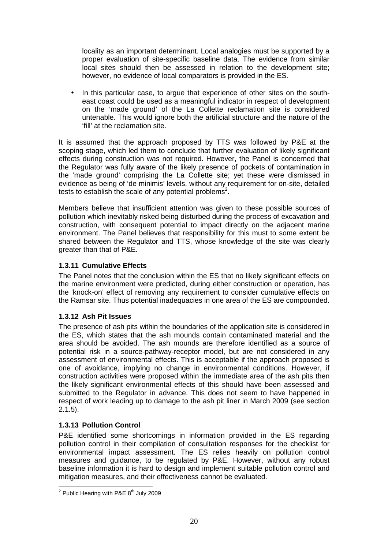locality as an important determinant. Local analogies must be supported by a proper evaluation of site-specific baseline data. The evidence from similar local sites should then be assessed in relation to the development site; however, no evidence of local comparators is provided in the ES.

In this particular case, to argue that experience of other sites on the southeast coast could be used as a meaningful indicator in respect of development on the 'made ground' of the La Collette reclamation site is considered untenable. This would ignore both the artificial structure and the nature of the 'fill' at the reclamation site.

It is assumed that the approach proposed by TTS was followed by P&E at the scoping stage, which led them to conclude that further evaluation of likely significant effects during construction was not required. However, the Panel is concerned that the Regulator was fully aware of the likely presence of pockets of contamination in the 'made ground' comprising the La Collette site; yet these were dismissed in evidence as being of 'de minimis' levels, without any requirement for on-site, detailed tests to establish the scale of any potential problems<sup>2</sup>.

Members believe that insufficient attention was given to these possible sources of pollution which inevitably risked being disturbed during the process of excavation and construction, with consequent potential to impact directly on the adjacent marine environment. The Panel believes that responsibility for this must to some extent be shared between the Regulator and TTS, whose knowledge of the site was clearly greater than that of P&E.

#### **1.3.11 Cumulative Effects**

The Panel notes that the conclusion within the ES that no likely significant effects on the marine environment were predicted, during either construction or operation, has the 'knock-on' effect of removing any requirement to consider cumulative effects on the Ramsar site. Thus potential inadequacies in one area of the ES are compounded.

#### **1.3.12 Ash Pit Issues**

The presence of ash pits within the boundaries of the application site is considered in the ES, which states that the ash mounds contain contaminated material and the area should be avoided. The ash mounds are therefore identified as a source of potential risk in a source-pathway-receptor model, but are not considered in any assessment of environmental effects. This is acceptable if the approach proposed is one of avoidance, implying no change in environmental conditions. However, if construction activities were proposed within the immediate area of the ash pits then the likely significant environmental effects of this should have been assessed and submitted to the Regulator in advance. This does not seem to have happened in respect of work leading up to damage to the ash pit liner in March 2009 (see section 2.1.5).

#### **1.3.13 Pollution Control**

P&E identified some shortcomings in information provided in the ES regarding pollution control in their compilation of consultation responses for the checklist for environmental impact assessment. The ES relies heavily on pollution control measures and guidance, to be regulated by P&E. However, without any robust baseline information it is hard to design and implement suitable pollution control and mitigation measures, and their effectiveness cannot be evaluated.

 $\overline{\phantom{a}}$ <sup>2</sup> Public Hearing with P&E  $8^{\text{th}}$  July 2009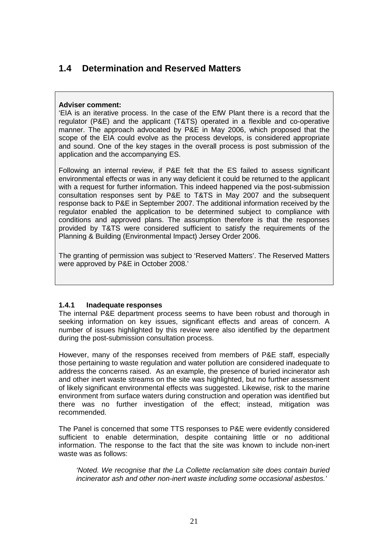# **1.4 Determination and Reserved Matters**

#### **Adviser comment:**

'EIA is an iterative process. In the case of the EfW Plant there is a record that the regulator (P&E) and the applicant (T&TS) operated in a flexible and co-operative manner. The approach advocated by P&E in May 2006, which proposed that the scope of the EIA could evolve as the process develops, is considered appropriate and sound. One of the key stages in the overall process is post submission of the application and the accompanying ES.

Following an internal review, if P&E felt that the ES failed to assess significant environmental effects or was in any way deficient it could be returned to the applicant with a request for further information. This indeed happened via the post-submission consultation responses sent by P&E to T&TS in May 2007 and the subsequent response back to P&E in September 2007. The additional information received by the regulator enabled the application to be determined subject to compliance with conditions and approved plans. The assumption therefore is that the responses provided by T&TS were considered sufficient to satisfy the requirements of the Planning & Building (Environmental Impact) Jersey Order 2006.

The granting of permission was subject to 'Reserved Matters'. The Reserved Matters were approved by P&E in October 2008.'

#### **1.4.1 Inadequate responses**

The internal P&E department process seems to have been robust and thorough in seeking information on key issues, significant effects and areas of concern. A number of issues highlighted by this review were also identified by the department during the post-submission consultation process.

However, many of the responses received from members of P&E staff, especially those pertaining to waste regulation and water pollution are considered inadequate to address the concerns raised. As an example, the presence of buried incinerator ash and other inert waste streams on the site was highlighted, but no further assessment of likely significant environmental effects was suggested. Likewise, risk to the marine environment from surface waters during construction and operation was identified but there was no further investigation of the effect; instead, mitigation was recommended.

The Panel is concerned that some TTS responses to P&E were evidently considered sufficient to enable determination, despite containing little or no additional information. The response to the fact that the site was known to include non-inert waste was as follows:

'Noted. We recognise that the La Collette reclamation site does contain buried incinerator ash and other non-inert waste including some occasional asbestos.'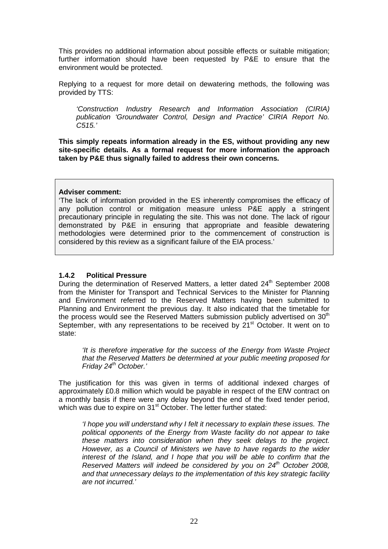This provides no additional information about possible effects or suitable mitigation; further information should have been requested by P&E to ensure that the environment would be protected.

Replying to a request for more detail on dewatering methods, the following was provided by TTS:

'Construction Industry Research and Information Association (CIRIA) publication 'Groundwater Control, Design and Practice' CIRIA Report No. C515.'

**This simply repeats information already in the ES, without providing any new site-specific details. As a formal request for more information the approach taken by P&E thus signally failed to address their own concerns.** 

#### **Adviser comment:**

'The lack of information provided in the ES inherently compromises the efficacy of any pollution control or mitigation measure unless P&E apply a stringent precautionary principle in regulating the site. This was not done. The lack of rigour demonstrated by P&E in ensuring that appropriate and feasible dewatering methodologies were determined prior to the commencement of construction is considered by this review as a significant failure of the EIA process.'

#### **1.4.2 Political Pressure**

During the determination of Reserved Matters, a letter dated 24<sup>th</sup> September 2008 from the Minister for Transport and Technical Services to the Minister for Planning and Environment referred to the Reserved Matters having been submitted to Planning and Environment the previous day. It also indicated that the timetable for the process would see the Reserved Matters submission publicly advertised on  $30<sup>th</sup>$ September, with any representations to be received by 21<sup>st</sup> October. It went on to state:

'It is therefore imperative for the success of the Energy from Waste Project that the Reserved Matters be determined at your public meeting proposed for Friday 24<sup>th</sup> October.'

The justification for this was given in terms of additional indexed charges of approximately £0.8 million which would be payable in respect of the EfW contract on a monthly basis if there were any delay beyond the end of the fixed tender period, which was due to expire on 31<sup>st</sup> October. The letter further stated:

'I hope you will understand why I felt it necessary to explain these issues. The political opponents of the Energy from Waste facility do not appear to take these matters into consideration when they seek delays to the project. However, as a Council of Ministers we have to have regards to the wider interest of the Island, and I hope that you will be able to confirm that the Reserved Matters will indeed be considered by you on  $24<sup>th</sup>$  October 2008, and that unnecessary delays to the implementation of this key strategic facility are not incurred.'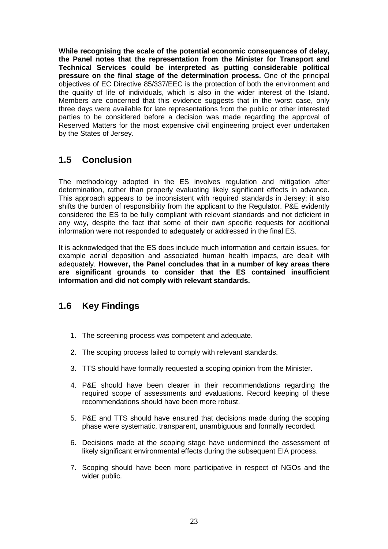**While recognising the scale of the potential economic consequences of delay, the Panel notes that the representation from the Minister for Transport and Technical Services could be interpreted as putting considerable political pressure on the final stage of the determination process.** One of the principal objectives of EC Directive 85/337/EEC is the protection of both the environment and the quality of life of individuals, which is also in the wider interest of the Island. Members are concerned that this evidence suggests that in the worst case, only three days were available for late representations from the public or other interested parties to be considered before a decision was made regarding the approval of Reserved Matters for the most expensive civil engineering project ever undertaken by the States of Jersey.

# **1.5 Conclusion**

The methodology adopted in the ES involves regulation and mitigation after determination, rather than properly evaluating likely significant effects in advance. This approach appears to be inconsistent with required standards in Jersey; it also shifts the burden of responsibility from the applicant to the Regulator. P&E evidently considered the ES to be fully compliant with relevant standards and not deficient in any way, despite the fact that some of their own specific requests for additional information were not responded to adequately or addressed in the final ES.

It is acknowledged that the ES does include much information and certain issues, for example aerial deposition and associated human health impacts, are dealt with adequately. **However, the Panel concludes that in a number of key areas there are significant grounds to consider that the ES contained insufficient information and did not comply with relevant standards.** 

# **1.6 Key Findings**

- 1. The screening process was competent and adequate.
- 2. The scoping process failed to comply with relevant standards.
- 3. TTS should have formally requested a scoping opinion from the Minister.
- 4. P&E should have been clearer in their recommendations regarding the required scope of assessments and evaluations. Record keeping of these recommendations should have been more robust.
- 5. P&E and TTS should have ensured that decisions made during the scoping phase were systematic, transparent, unambiguous and formally recorded.
- 6. Decisions made at the scoping stage have undermined the assessment of likely significant environmental effects during the subsequent EIA process.
- 7. Scoping should have been more participative in respect of NGOs and the wider public.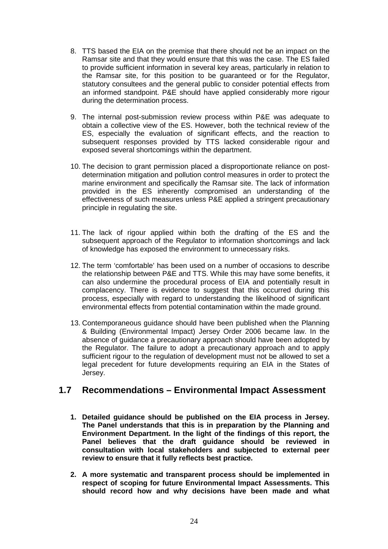- 8. TTS based the EIA on the premise that there should not be an impact on the Ramsar site and that they would ensure that this was the case. The ES failed to provide sufficient information in several key areas, particularly in relation to the Ramsar site, for this position to be guaranteed or for the Regulator, statutory consultees and the general public to consider potential effects from an informed standpoint. P&E should have applied considerably more rigour during the determination process.
- 9. The internal post-submission review process within P&E was adequate to obtain a collective view of the ES. However, both the technical review of the ES, especially the evaluation of significant effects, and the reaction to subsequent responses provided by TTS lacked considerable rigour and exposed several shortcomings within the department.
- 10. The decision to grant permission placed a disproportionate reliance on postdetermination mitigation and pollution control measures in order to protect the marine environment and specifically the Ramsar site. The lack of information provided in the ES inherently compromised an understanding of the effectiveness of such measures unless P&E applied a stringent precautionary principle in regulating the site.
- 11. The lack of rigour applied within both the drafting of the ES and the subsequent approach of the Regulator to information shortcomings and lack of knowledge has exposed the environment to unnecessary risks.
- 12. The term 'comfortable' has been used on a number of occasions to describe the relationship between P&E and TTS. While this may have some benefits, it can also undermine the procedural process of EIA and potentially result in complacency. There is evidence to suggest that this occurred during this process, especially with regard to understanding the likelihood of significant environmental effects from potential contamination within the made ground.
- 13. Contemporaneous guidance should have been published when the Planning & Building (Environmental Impact) Jersey Order 2006 became law. In the absence of guidance a precautionary approach should have been adopted by the Regulator. The failure to adopt a precautionary approach and to apply sufficient rigour to the regulation of development must not be allowed to set a legal precedent for future developments requiring an EIA in the States of Jersey.

# **1.7 Recommendations – Environmental Impact Assessment**

- **1. Detailed guidance should be published on the EIA process in Jersey. The Panel understands that this is in preparation by the Planning and Environment Department. In the light of the findings of this report, the Panel believes that the draft guidance should be reviewed in consultation with local stakeholders and subjected to external peer review to ensure that it fully reflects best practice.**
- **2. A more systematic and transparent process should be implemented in respect of scoping for future Environmental Impact Assessments. This should record how and why decisions have been made and what**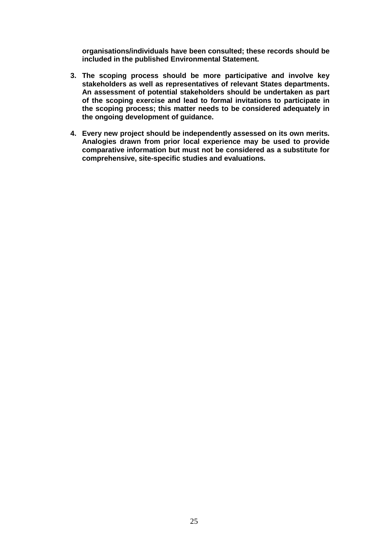**organisations/individuals have been consulted; these records should be included in the published Environmental Statement.** 

- **3. The scoping process should be more participative and involve key stakeholders as well as representatives of relevant States departments. An assessment of potential stakeholders should be undertaken as part of the scoping exercise and lead to formal invitations to participate in the scoping process; this matter needs to be considered adequately in the ongoing development of guidance.**
- **4. Every new project should be independently assessed on its own merits. Analogies drawn from prior local experience may be used to provide comparative information but must not be considered as a substitute for comprehensive, site-specific studies and evaluations.**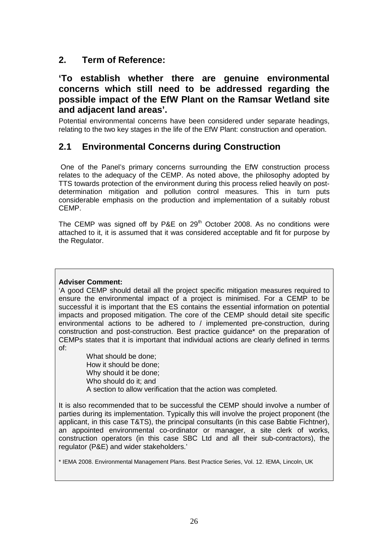# **2. Term of Reference:**

# **'To establish whether there are genuine environmental concerns which still need to be addressed regarding the possible impact of the EfW Plant on the Ramsar Wetland site and adjacent land areas'.**

Potential environmental concerns have been considered under separate headings, relating to the two key stages in the life of the EfW Plant: construction and operation.

# **2.1 Environmental Concerns during Construction**

 One of the Panel's primary concerns surrounding the EfW construction process relates to the adequacy of the CEMP. As noted above, the philosophy adopted by TTS towards protection of the environment during this process relied heavily on postdetermination mitigation and pollution control measures. This in turn puts considerable emphasis on the production and implementation of a suitably robust CEMP.

The CEMP was signed off by P&E on  $29<sup>th</sup>$  October 2008. As no conditions were attached to it, it is assumed that it was considered acceptable and fit for purpose by the Regulator.

#### **Adviser Comment:**

'A good CEMP should detail all the project specific mitigation measures required to ensure the environmental impact of a project is minimised. For a CEMP to be successful it is important that the ES contains the essential information on potential impacts and proposed mitigation. The core of the CEMP should detail site specific environmental actions to be adhered to / implemented pre-construction, during construction and post-construction. Best practice guidance\* on the preparation of CEMPs states that it is important that individual actions are clearly defined in terms of:

> What should be done; How it should be done; Why should it be done; Who should do it; and A section to allow verification that the action was completed.

It is also recommended that to be successful the CEMP should involve a number of parties during its implementation. Typically this will involve the project proponent (the applicant, in this case T&TS), the principal consultants (in this case Babtie Fichtner), an appointed environmental co-ordinator or manager, a site clerk of works, construction operators (in this case SBC Ltd and all their sub-contractors), the regulator (P&E) and wider stakeholders.'

\* IEMA 2008. Environmental Management Plans. Best Practice Series, Vol. 12. IEMA, Lincoln, UK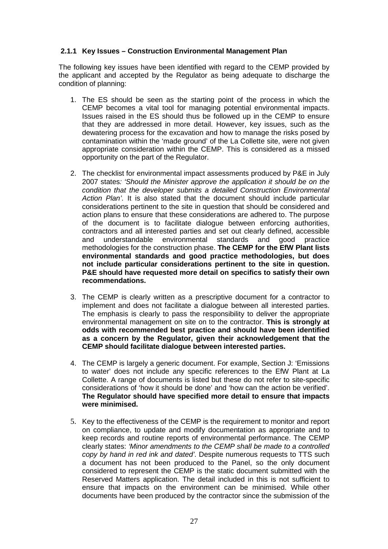#### **2.1.1 Key Issues – Construction Environmental Management Plan**

The following key issues have been identified with regard to the CEMP provided by the applicant and accepted by the Regulator as being adequate to discharge the condition of planning:

- 1. The ES should be seen as the starting point of the process in which the CEMP becomes a vital tool for managing potential environmental impacts. Issues raised in the ES should thus be followed up in the CEMP to ensure that they are addressed in more detail. However, key issues, such as the dewatering process for the excavation and how to manage the risks posed by contamination within the 'made ground' of the La Collette site, were not given appropriate consideration within the CEMP. This is considered as a missed opportunity on the part of the Regulator.
- 2. The checklist for environmental impact assessments produced by P&E in July 2007 states: 'Should the Minister approve the application it should be on the condition that the developer submits a detailed Construction Environmental Action Plan'. It is also stated that the document should include particular considerations pertinent to the site in question that should be considered and action plans to ensure that these considerations are adhered to. The purpose of the document is to facilitate dialogue between enforcing authorities, contractors and all interested parties and set out clearly defined, accessible and understandable environmental standards and good practice methodologies for the construction phase. **The CEMP for the EfW Plant lists environmental standards and good practice methodologies, but does not include particular considerations pertinent to the site in question. P&E should have requested more detail on specifics to satisfy their own recommendations.**
- 3. The CEMP is clearly written as a prescriptive document for a contractor to implement and does not facilitate a dialogue between all interested parties. The emphasis is clearly to pass the responsibility to deliver the appropriate environmental management on site on to the contractor. **This is strongly at odds with recommended best practice and should have been identified as a concern by the Regulator, given their acknowledgement that the CEMP should facilitate dialogue between interested parties.**
- 4. The CEMP is largely a generic document. For example, Section J: 'Emissions to water' does not include any specific references to the EfW Plant at La Collette. A range of documents is listed but these do not refer to site-specific considerations of 'how it should be done' and 'how can the action be verified'. **The Regulator should have specified more detail to ensure that impacts were minimised.**
- 5. Key to the effectiveness of the CEMP is the requirement to monitor and report on compliance, to update and modify documentation as appropriate and to keep records and routine reports of environmental performance. The CEMP clearly states: 'Minor amendments to the CEMP shall be made to a controlled copy by hand in red ink and dated'. Despite numerous requests to TTS such a document has not been produced to the Panel, so the only document considered to represent the CEMP is the static document submitted with the Reserved Matters application. The detail included in this is not sufficient to ensure that impacts on the environment can be minimised. While other documents have been produced by the contractor since the submission of the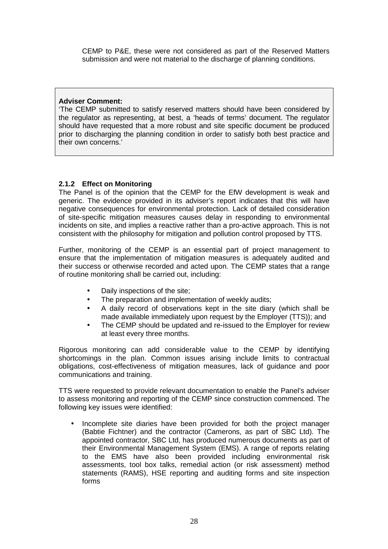CEMP to P&E, these were not considered as part of the Reserved Matters submission and were not material to the discharge of planning conditions.

#### **Adviser Comment:**

'The CEMP submitted to satisfy reserved matters should have been considered by the regulator as representing, at best, a 'heads of terms' document. The regulator should have requested that a more robust and site specific document be produced prior to discharging the planning condition in order to satisfy both best practice and their own concerns.'

#### **2.1.2 Effect on Monitoring**

The Panel is of the opinion that the CEMP for the EfW development is weak and generic. The evidence provided in its adviser's report indicates that this will have negative consequences for environmental protection. Lack of detailed consideration of site-specific mitigation measures causes delay in responding to environmental incidents on site, and implies a reactive rather than a pro-active approach. This is not consistent with the philosophy for mitigation and pollution control proposed by TTS.

Further, monitoring of the CEMP is an essential part of project management to ensure that the implementation of mitigation measures is adequately audited and their success or otherwise recorded and acted upon. The CEMP states that a range of routine monitoring shall be carried out, including:

- Daily inspections of the site;
- The preparation and implementation of weekly audits:
- A daily record of observations kept in the site diary (which shall be made available immediately upon request by the Employer (TTS)); and
- The CEMP should be updated and re-issued to the Employer for review at least every three months.

Rigorous monitoring can add considerable value to the CEMP by identifying shortcomings in the plan. Common issues arising include limits to contractual obligations, cost-effectiveness of mitigation measures, lack of guidance and poor communications and training.

TTS were requested to provide relevant documentation to enable the Panel's adviser to assess monitoring and reporting of the CEMP since construction commenced. The following key issues were identified:

• Incomplete site diaries have been provided for both the project manager (Babtie Fichtner) and the contractor (Camerons, as part of SBC Ltd). The appointed contractor, SBC Ltd, has produced numerous documents as part of their Environmental Management System (EMS). A range of reports relating to the EMS have also been provided including environmental risk assessments, tool box talks, remedial action (or risk assessment) method statements (RAMS), HSE reporting and auditing forms and site inspection forms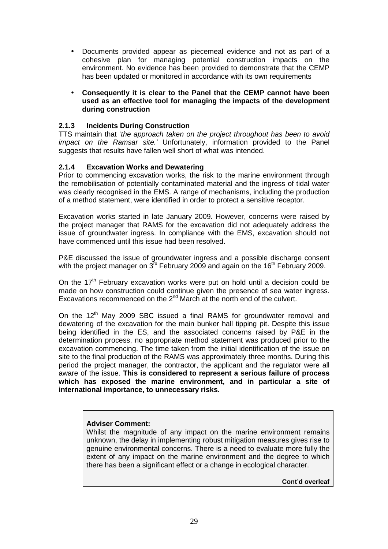• Documents provided appear as piecemeal evidence and not as part of a cohesive plan for managing potential construction impacts on the environment. No evidence has been provided to demonstrate that the CEMP has been updated or monitored in accordance with its own requirements

#### • **Consequently it is clear to the Panel that the CEMP cannot have been used as an effective tool for managing the impacts of the development during construction**

#### **2.1.3 Incidents During Construction**

TTS maintain that 'the approach taken on the project throughout has been to avoid impact on the Ramsar site.' Unfortunately, information provided to the Panel suggests that results have fallen well short of what was intended.

#### **2.1.4 Excavation Works and Dewatering**

Prior to commencing excavation works, the risk to the marine environment through the remobilisation of potentially contaminated material and the ingress of tidal water was clearly recognised in the EMS. A range of mechanisms, including the production of a method statement, were identified in order to protect a sensitive receptor.

Excavation works started in late January 2009. However, concerns were raised by the project manager that RAMS for the excavation did not adequately address the issue of groundwater ingress. In compliance with the EMS, excavation should not have commenced until this issue had been resolved.

P&E discussed the issue of groundwater ingress and a possible discharge consent with the project manager on  $3^{rd}$  February 2009 and again on the 16<sup>th</sup> February 2009.

On the  $17<sup>th</sup>$  February excavation works were put on hold until a decision could be made on how construction could continue given the presence of sea water ingress. Excavations recommenced on the  $2^{nd}$  March at the north end of the culvert.

On the 12<sup>th</sup> May 2009 SBC issued a final RAMS for groundwater removal and dewatering of the excavation for the main bunker hall tipping pit. Despite this issue being identified in the ES, and the associated concerns raised by P&E in the determination process, no appropriate method statement was produced prior to the excavation commencing. The time taken from the initial identification of the issue on site to the final production of the RAMS was approximately three months. During this period the project manager, the contractor, the applicant and the regulator were all aware of the issue. **This is considered to represent a serious failure of process which has exposed the marine environment, and in particular a site of international importance, to unnecessary risks.** 

#### **Adviser Comment:**

Whilst the magnitude of any impact on the marine environment remains unknown, the delay in implementing robust mitigation measures gives rise to genuine environmental concerns. There is a need to evaluate more fully the extent of any impact on the marine environment and the degree to which there has been a significant effect or a change in ecological character.

**Cont'd overleaf**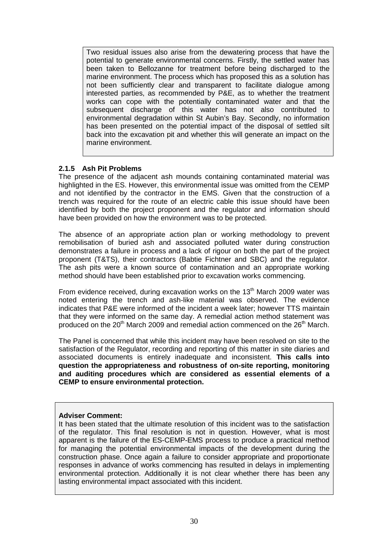Two residual issues also arise from the dewatering process that have the potential to generate environmental concerns. Firstly, the settled water has been taken to Bellozanne for treatment before being discharged to the marine environment. The process which has proposed this as a solution has not been sufficiently clear and transparent to facilitate dialogue among interested parties, as recommended by P&E, as to whether the treatment works can cope with the potentially contaminated water and that the subsequent discharge of this water has not also contributed to environmental degradation within St Aubin's Bay. Secondly, no information has been presented on the potential impact of the disposal of settled silt back into the excavation pit and whether this will generate an impact on the marine environment.

#### **2.1.5 Ash Pit Problems**

The presence of the adjacent ash mounds containing contaminated material was highlighted in the ES. However, this environmental issue was omitted from the CEMP and not identified by the contractor in the EMS. Given that the construction of a trench was required for the route of an electric cable this issue should have been identified by both the project proponent and the regulator and information should have been provided on how the environment was to be protected.

The absence of an appropriate action plan or working methodology to prevent remobilisation of buried ash and associated polluted water during construction demonstrates a failure in process and a lack of rigour on both the part of the project proponent (T&TS), their contractors (Babtie Fichtner and SBC) and the regulator. The ash pits were a known source of contamination and an appropriate working method should have been established prior to excavation works commencing.

From evidence received, during excavation works on the  $13<sup>th</sup>$  March 2009 water was noted entering the trench and ash-like material was observed. The evidence indicates that P&E were informed of the incident a week later; however TTS maintain that they were informed on the same day. A remedial action method statement was produced on the  $20<sup>th</sup>$  March 2009 and remedial action commenced on the  $26<sup>th</sup>$  March.

The Panel is concerned that while this incident may have been resolved on site to the satisfaction of the Regulator, recording and reporting of this matter in site diaries and associated documents is entirely inadequate and inconsistent. **This calls into question the appropriateness and robustness of on-site reporting, monitoring and auditing procedures which are considered as essential elements of a CEMP to ensure environmental protection.** 

#### **Adviser Comment:**

It has been stated that the ultimate resolution of this incident was to the satisfaction of the regulator. This final resolution is not in question. However, what is most apparent is the failure of the ES-CEMP-EMS process to produce a practical method for managing the potential environmental impacts of the development during the construction phase. Once again a failure to consider appropriate and proportionate responses in advance of works commencing has resulted in delays in implementing environmental protection. Additionally it is not clear whether there has been any lasting environmental impact associated with this incident.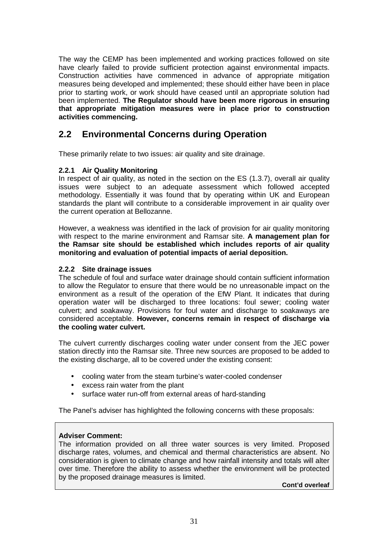The way the CEMP has been implemented and working practices followed on site have clearly failed to provide sufficient protection against environmental impacts. Construction activities have commenced in advance of appropriate mitigation measures being developed and implemented; these should either have been in place prior to starting work, or work should have ceased until an appropriate solution had been implemented. **The Regulator should have been more rigorous in ensuring that appropriate mitigation measures were in place prior to construction activities commencing.** 

# **2.2 Environmental Concerns during Operation**

These primarily relate to two issues: air quality and site drainage.

#### **2.2.1 Air Quality Monitoring**

In respect of air quality, as noted in the section on the ES (1.3.7), overall air quality issues were subject to an adequate assessment which followed accepted methodology. Essentially it was found that by operating within UK and European standards the plant will contribute to a considerable improvement in air quality over the current operation at Bellozanne.

However, a weakness was identified in the lack of provision for air quality monitoring with respect to the marine environment and Ramsar site. **A management plan for the Ramsar site should be established which includes reports of air quality monitoring and evaluation of potential impacts of aerial deposition.** 

#### **2.2.2 Site drainage issues**

The schedule of foul and surface water drainage should contain sufficient information to allow the Regulator to ensure that there would be no unreasonable impact on the environment as a result of the operation of the EfW Plant. It indicates that during operation water will be discharged to three locations: foul sewer; cooling water culvert; and soakaway. Provisions for foul water and discharge to soakaways are considered acceptable. **However, concerns remain in respect of discharge via the cooling water culvert.** 

The culvert currently discharges cooling water under consent from the JEC power station directly into the Ramsar site. Three new sources are proposed to be added to the existing discharge, all to be covered under the existing consent:

- cooling water from the steam turbine's water-cooled condenser
- excess rain water from the plant
- surface water run-off from external areas of hard-standing

The Panel's adviser has highlighted the following concerns with these proposals:

#### **Adviser Comment:**

The information provided on all three water sources is very limited. Proposed discharge rates, volumes, and chemical and thermal characteristics are absent. No consideration is given to climate change and how rainfall intensity and totals will alter over time. Therefore the ability to assess whether the environment will be protected by the proposed drainage measures is limited.

**Cont'd overleaf**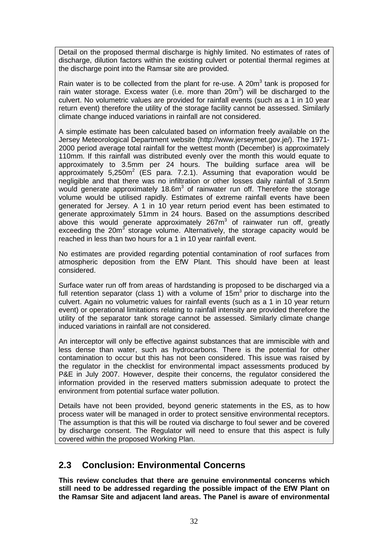Detail on the proposed thermal discharge is highly limited. No estimates of rates of discharge, dilution factors within the existing culvert or potential thermal regimes at the discharge point into the Ramsar site are provided.

Rain water is to be collected from the plant for re-use. A 20 $m<sup>3</sup>$  tank is proposed for rain water storage. Excess water (i.e. more than 20m<sup>3</sup>) will be discharged to the culvert. No volumetric values are provided for rainfall events (such as a 1 in 10 year return event) therefore the utility of the storage facility cannot be assessed. Similarly climate change induced variations in rainfall are not considered.

A simple estimate has been calculated based on information freely available on the Jersey Meteorological Department website (http://www.jerseymet.gov.je/). The 1971- 2000 period average total rainfall for the wettest month (December) is approximately 110mm. If this rainfall was distributed evenly over the month this would equate to approximately to 3.5mm per 24 hours. The building surface area will be approximately  $5,250m^2$  (ES para. 7.2.1). Assuming that evaporation would be negligible and that there was no infiltration or other losses daily rainfall of 3.5mm would generate approximately 18.6 $m<sup>3</sup>$  of rainwater run off. Therefore the storage volume would be utilised rapidly. Estimates of extreme rainfall events have been generated for Jersey. A 1 in 10 year return period event has been estimated to generate approximately 51mm in 24 hours. Based on the assumptions described above this would generate approximately 267 $m<sup>3</sup>$  of rainwater run off, greatly exceeding the 20 $m<sup>3</sup>$  storage volume. Alternatively, the storage capacity would be reached in less than two hours for a 1 in 10 year rainfall event.

No estimates are provided regarding potential contamination of roof surfaces from atmospheric deposition from the EfW Plant. This should have been at least considered.

Surface water run off from areas of hardstanding is proposed to be discharged via a full retention separator (class 1) with a volume of  $15m<sup>3</sup>$  prior to discharge into the culvert. Again no volumetric values for rainfall events (such as a 1 in 10 year return event) or operational limitations relating to rainfall intensity are provided therefore the utility of the separator tank storage cannot be assessed. Similarly climate change induced variations in rainfall are not considered.

An interceptor will only be effective against substances that are immiscible with and less dense than water, such as hydrocarbons. There is the potential for other contamination to occur but this has not been considered. This issue was raised by the regulator in the checklist for environmental impact assessments produced by P&E in July 2007. However, despite their concerns, the regulator considered the information provided in the reserved matters submission adequate to protect the environment from potential surface water pollution.

Details have not been provided, beyond generic statements in the ES, as to how process water will be managed in order to protect sensitive environmental receptors. The assumption is that this will be routed via discharge to foul sewer and be covered by discharge consent. The Regulator will need to ensure that this aspect is fully covered within the proposed Working Plan.

# **2.3 Conclusion: Environmental Concerns**

**This review concludes that there are genuine environmental concerns which still need to be addressed regarding the possible impact of the EfW Plant on the Ramsar Site and adjacent land areas. The Panel is aware of environmental**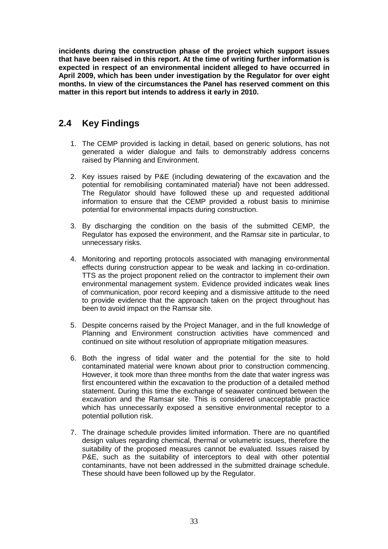**incidents during the construction phase of the project which support issues that have been raised in this report. At the time of writing further information is expected in respect of an environmental incident alleged to have occurred in April 2009, which has been under investigation by the Regulator for over eight months. In view of the circumstances the Panel has reserved comment on this matter in this report but intends to address it early in 2010.** 

# **2.4 Key Findings**

- 1. The CEMP provided is lacking in detail, based on generic solutions, has not generated a wider dialogue and fails to demonstrably address concerns raised by Planning and Environment.
- 2. Key issues raised by P&E (including dewatering of the excavation and the potential for remobilising contaminated material) have not been addressed. The Regulator should have followed these up and requested additional information to ensure that the CEMP provided a robust basis to minimise potential for environmental impacts during construction.
- 3. By discharging the condition on the basis of the submitted CEMP, the Regulator has exposed the environment, and the Ramsar site in particular, to unnecessary risks.
- 4. Monitoring and reporting protocols associated with managing environmental effects during construction appear to be weak and lacking in co-ordination. TTS as the project proponent relied on the contractor to implement their own environmental management system. Evidence provided indicates weak lines of communication, poor record keeping and a dismissive attitude to the need to provide evidence that the approach taken on the project throughout has been to avoid impact on the Ramsar site.
- 5. Despite concerns raised by the Project Manager, and in the full knowledge of Planning and Environment construction activities have commenced and continued on site without resolution of appropriate mitigation measures.
- 6. Both the ingress of tidal water and the potential for the site to hold contaminated material were known about prior to construction commencing. However, it took more than three months from the date that water ingress was first encountered within the excavation to the production of a detailed method statement. During this time the exchange of seawater continued between the excavation and the Ramsar site. This is considered unacceptable practice which has unnecessarily exposed a sensitive environmental receptor to a potential pollution risk.
- 7. The drainage schedule provides limited information. There are no quantified design values regarding chemical, thermal or volumetric issues, therefore the suitability of the proposed measures cannot be evaluated. Issues raised by P&E, such as the suitability of interceptors to deal with other potential contaminants, have not been addressed in the submitted drainage schedule. These should have been followed up by the Regulator.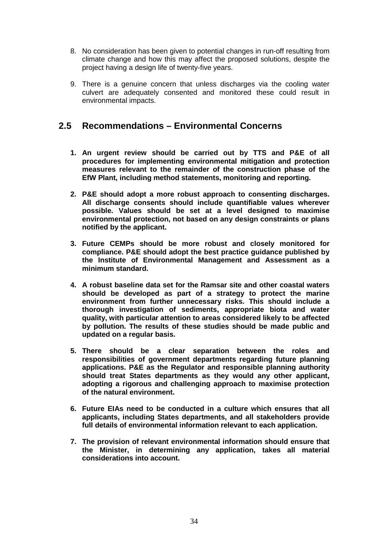- 8. No consideration has been given to potential changes in run-off resulting from climate change and how this may affect the proposed solutions, despite the project having a design life of twenty-five years.
- 9. There is a genuine concern that unless discharges via the cooling water culvert are adequately consented and monitored these could result in environmental impacts.

# **2.5 Recommendations – Environmental Concerns**

- **1. An urgent review should be carried out by TTS and P&E of all procedures for implementing environmental mitigation and protection measures relevant to the remainder of the construction phase of the EfW Plant, including method statements, monitoring and reporting.**
- **2. P&E should adopt a more robust approach to consenting discharges. All discharge consents should include quantifiable values wherever possible. Values should be set at a level designed to maximise environmental protection, not based on any design constraints or plans notified by the applicant.**
- **3. Future CEMPs should be more robust and closely monitored for compliance. P&E should adopt the best practice guidance published by the Institute of Environmental Management and Assessment as a minimum standard.**
- **4. A robust baseline data set for the Ramsar site and other coastal waters should be developed as part of a strategy to protect the marine environment from further unnecessary risks. This should include a thorough investigation of sediments, appropriate biota and water quality, with particular attention to areas considered likely to be affected by pollution. The results of these studies should be made public and updated on a regular basis.**
- **5. There should be a clear separation between the roles and responsibilities of government departments regarding future planning applications. P&E as the Regulator and responsible planning authority should treat States departments as they would any other applicant, adopting a rigorous and challenging approach to maximise protection of the natural environment.**
- **6. Future EIAs need to be conducted in a culture which ensures that all applicants, including States departments, and all stakeholders provide full details of environmental information relevant to each application.**
- **7. The provision of relevant environmental information should ensure that the Minister, in determining any application, takes all material considerations into account.**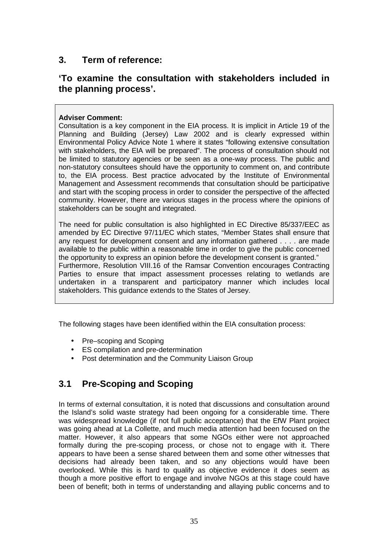# **3. Term of reference:**

# **'To examine the consultation with stakeholders included in the planning process'.**

#### **Adviser Comment:**

Consultation is a key component in the EIA process. It is implicit in Article 19 of the Planning and Building (Jersey) Law 2002 and is clearly expressed within Environmental Policy Advice Note 1 where it states "following extensive consultation with stakeholders, the EIA will be prepared". The process of consultation should not be limited to statutory agencies or be seen as a one-way process. The public and non-statutory consultees should have the opportunity to comment on, and contribute to, the EIA process. Best practice advocated by the Institute of Environmental Management and Assessment recommends that consultation should be participative and start with the scoping process in order to consider the perspective of the affected community. However, there are various stages in the process where the opinions of stakeholders can be sought and integrated.

The need for public consultation is also highlighted in EC Directive 85/337/EEC as amended by EC Directive 97/11/EC which states, "Member States shall ensure that any request for development consent and any information gathered . . . . are made available to the public within a reasonable time in order to give the public concerned the opportunity to express an opinion before the development consent is granted." Furthermore, Resolution VIII.16 of the Ramsar Convention encourages Contracting Parties to ensure that impact assessment processes relating to wetlands are undertaken in a transparent and participatory manner which includes local stakeholders. This guidance extends to the States of Jersey.

The following stages have been identified within the EIA consultation process:

- Pre–scoping and Scoping
- ES compilation and pre-determination
- Post determination and the Community Liaison Group

# **3.1 Pre-Scoping and Scoping**

In terms of external consultation, it is noted that discussions and consultation around the Island's solid waste strategy had been ongoing for a considerable time. There was widespread knowledge (if not full public acceptance) that the EfW Plant project was going ahead at La Collette, and much media attention had been focused on the matter. However, it also appears that some NGOs either were not approached formally during the pre-scoping process, or chose not to engage with it. There appears to have been a sense shared between them and some other witnesses that decisions had already been taken, and so any objections would have been overlooked. While this is hard to qualify as objective evidence it does seem as though a more positive effort to engage and involve NGOs at this stage could have been of benefit; both in terms of understanding and allaying public concerns and to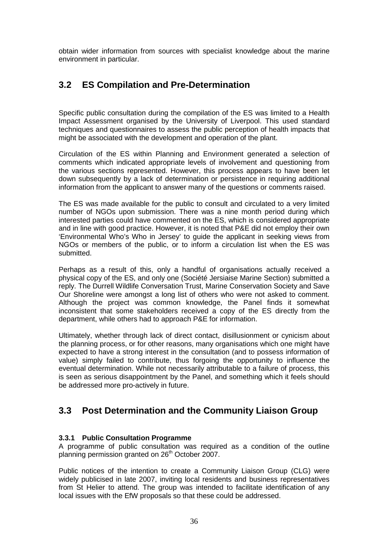obtain wider information from sources with specialist knowledge about the marine environment in particular.

# **3.2 ES Compilation and Pre-Determination**

Specific public consultation during the compilation of the ES was limited to a Health Impact Assessment organised by the University of Liverpool. This used standard techniques and questionnaires to assess the public perception of health impacts that might be associated with the development and operation of the plant.

Circulation of the ES within Planning and Environment generated a selection of comments which indicated appropriate levels of involvement and questioning from the various sections represented. However, this process appears to have been let down subsequently by a lack of determination or persistence in requiring additional information from the applicant to answer many of the questions or comments raised.

The ES was made available for the public to consult and circulated to a very limited number of NGOs upon submission. There was a nine month period during which interested parties could have commented on the ES, which is considered appropriate and in line with good practice. However, it is noted that P&E did not employ their own 'Environmental Who's Who in Jersey' to guide the applicant in seeking views from NGOs or members of the public, or to inform a circulation list when the ES was submitted.

Perhaps as a result of this, only a handful of organisations actually received a physical copy of the ES, and only one (Société Jersiaise Marine Section) submitted a reply. The Durrell Wildlife Conversation Trust, Marine Conservation Society and Save Our Shoreline were amongst a long list of others who were not asked to comment. Although the project was common knowledge, the Panel finds it somewhat inconsistent that some stakeholders received a copy of the ES directly from the department, while others had to approach P&E for information.

Ultimately, whether through lack of direct contact, disillusionment or cynicism about the planning process, or for other reasons, many organisations which one might have expected to have a strong interest in the consultation (and to possess information of value) simply failed to contribute, thus forgoing the opportunity to influence the eventual determination. While not necessarily attributable to a failure of process, this is seen as serious disappointment by the Panel, and something which it feels should be addressed more pro-actively in future.

## **3.3 Post Determination and the Community Liaison Group**

#### **3.3.1 Public Consultation Programme**

A programme of public consultation was required as a condition of the outline planning permission granted on 26<sup>th</sup> October 2007.

Public notices of the intention to create a Community Liaison Group (CLG) were widely publicised in late 2007, inviting local residents and business representatives from St Helier to attend. The group was intended to facilitate identification of any local issues with the EfW proposals so that these could be addressed.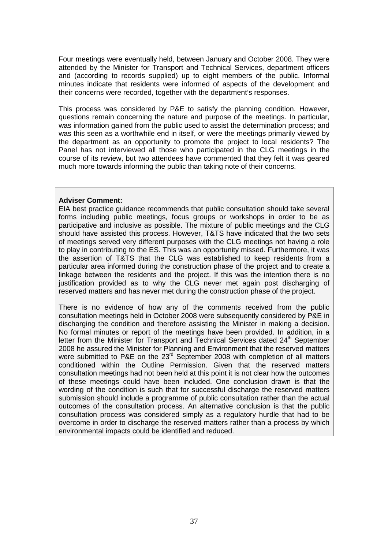Four meetings were eventually held, between January and October 2008. They were attended by the Minister for Transport and Technical Services, department officers and (according to records supplied) up to eight members of the public. Informal minutes indicate that residents were informed of aspects of the development and their concerns were recorded, together with the department's responses.

This process was considered by P&E to satisfy the planning condition. However, questions remain concerning the nature and purpose of the meetings. In particular, was information gained from the public used to assist the determination process; and was this seen as a worthwhile end in itself, or were the meetings primarily viewed by the department as an opportunity to promote the project to local residents? The Panel has not interviewed all those who participated in the CLG meetings in the course of its review, but two attendees have commented that they felt it was geared much more towards informing the public than taking note of their concerns.

#### **Adviser Comment:**

EIA best practice guidance recommends that public consultation should take several forms including public meetings, focus groups or workshops in order to be as participative and inclusive as possible. The mixture of public meetings and the CLG should have assisted this process. However, T&TS have indicated that the two sets of meetings served very different purposes with the CLG meetings not having a role to play in contributing to the ES. This was an opportunity missed. Furthermore, it was the assertion of T&TS that the CLG was established to keep residents from a particular area informed during the construction phase of the project and to create a linkage between the residents and the project. If this was the intention there is no justification provided as to why the CLG never met again post discharging of reserved matters and has never met during the construction phase of the project.

There is no evidence of how any of the comments received from the public consultation meetings held in October 2008 were subsequently considered by P&E in discharging the condition and therefore assisting the Minister in making a decision. No formal minutes or report of the meetings have been provided. In addition, in a letter from the Minister for Transport and Technical Services dated 24<sup>th</sup> September 2008 he assured the Minister for Planning and Environment that the reserved matters were submitted to P&E on the 23<sup>rd</sup> September 2008 with completion of all matters conditioned within the Outline Permission. Given that the reserved matters consultation meetings had not been held at this point it is not clear how the outcomes of these meetings could have been included. One conclusion drawn is that the wording of the condition is such that for successful discharge the reserved matters submission should include a programme of public consultation rather than the actual outcomes of the consultation process. An alternative conclusion is that the public consultation process was considered simply as a regulatory hurdle that had to be overcome in order to discharge the reserved matters rather than a process by which environmental impacts could be identified and reduced.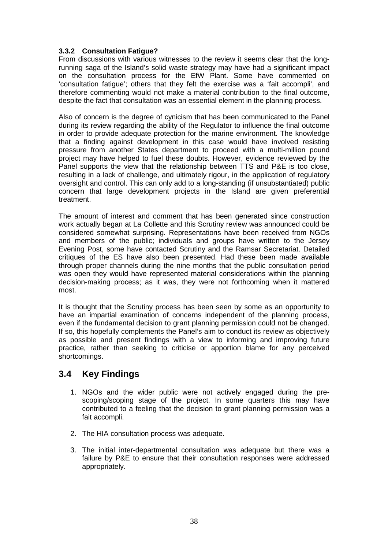#### **3.3.2 Consultation Fatigue?**

From discussions with various witnesses to the review it seems clear that the longrunning saga of the Island's solid waste strategy may have had a significant impact on the consultation process for the EfW Plant. Some have commented on 'consultation fatigue'; others that they felt the exercise was a 'fait accompli', and therefore commenting would not make a material contribution to the final outcome, despite the fact that consultation was an essential element in the planning process.

Also of concern is the degree of cynicism that has been communicated to the Panel during its review regarding the ability of the Regulator to influence the final outcome in order to provide adequate protection for the marine environment. The knowledge that a finding against development in this case would have involved resisting pressure from another States department to proceed with a multi-million pound project may have helped to fuel these doubts. However, evidence reviewed by the Panel supports the view that the relationship between TTS and P&E is too close, resulting in a lack of challenge, and ultimately rigour, in the application of regulatory oversight and control. This can only add to a long-standing (if unsubstantiated) public concern that large development projects in the Island are given preferential treatment.

The amount of interest and comment that has been generated since construction work actually began at La Collette and this Scrutiny review was announced could be considered somewhat surprising. Representations have been received from NGOs and members of the public; individuals and groups have written to the Jersey Evening Post, some have contacted Scrutiny and the Ramsar Secretariat. Detailed critiques of the ES have also been presented. Had these been made available through proper channels during the nine months that the public consultation period was open they would have represented material considerations within the planning decision-making process; as it was, they were not forthcoming when it mattered most.

It is thought that the Scrutiny process has been seen by some as an opportunity to have an impartial examination of concerns independent of the planning process, even if the fundamental decision to grant planning permission could not be changed. If so, this hopefully complements the Panel's aim to conduct its review as objectively as possible and present findings with a view to informing and improving future practice, rather than seeking to criticise or apportion blame for any perceived shortcomings.

## **3.4 Key Findings**

- 1. NGOs and the wider public were not actively engaged during the prescoping/scoping stage of the project. In some quarters this may have contributed to a feeling that the decision to grant planning permission was a fait accompli.
- 2. The HIA consultation process was adequate.
- 3. The initial inter-departmental consultation was adequate but there was a failure by P&E to ensure that their consultation responses were addressed appropriately.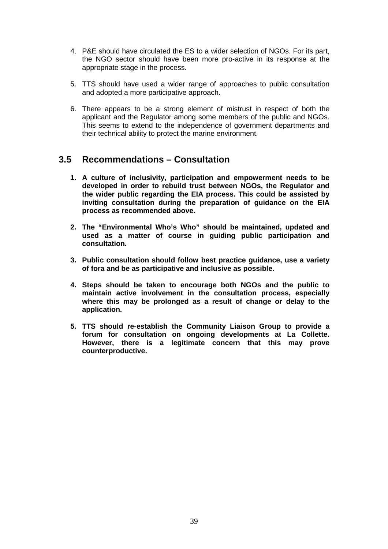- 4. P&E should have circulated the ES to a wider selection of NGOs. For its part, the NGO sector should have been more pro-active in its response at the appropriate stage in the process.
- 5. TTS should have used a wider range of approaches to public consultation and adopted a more participative approach.
- 6. There appears to be a strong element of mistrust in respect of both the applicant and the Regulator among some members of the public and NGOs. This seems to extend to the independence of government departments and their technical ability to protect the marine environment.

# **3.5 Recommendations – Consultation**

- **1. A culture of inclusivity, participation and empowerment needs to be developed in order to rebuild trust between NGOs, the Regulator and the wider public regarding the EIA process. This could be assisted by inviting consultation during the preparation of guidance on the EIA process as recommended above.**
- **2. The "Environmental Who's Who" should be maintained, updated and used as a matter of course in guiding public participation and consultation.**
- **3. Public consultation should follow best practice guidance, use a variety of fora and be as participative and inclusive as possible.**
- **4. Steps should be taken to encourage both NGOs and the public to maintain active involvement in the consultation process, especially where this may be prolonged as a result of change or delay to the application.**
- **5. TTS should re-establish the Community Liaison Group to provide a forum for consultation on ongoing developments at La Collette. However, there is a legitimate concern that this may prove counterproductive.**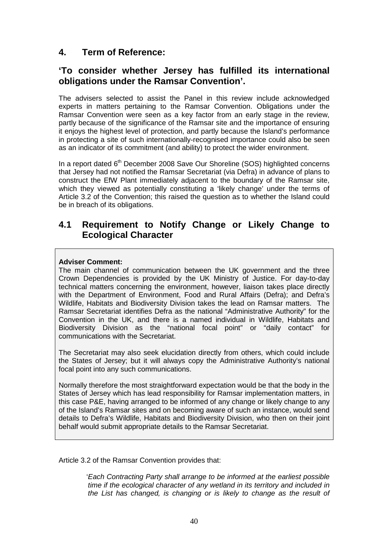# **4. Term of Reference:**

## **'To consider whether Jersey has fulfilled its international obligations under the Ramsar Convention'.**

The advisers selected to assist the Panel in this review include acknowledged experts in matters pertaining to the Ramsar Convention. Obligations under the Ramsar Convention were seen as a key factor from an early stage in the review, partly because of the significance of the Ramsar site and the importance of ensuring it enjoys the highest level of protection, and partly because the Island's performance in protecting a site of such internationally-recognised importance could also be seen as an indicator of its commitment (and ability) to protect the wider environment.

In a report dated 6<sup>th</sup> December 2008 Save Our Shoreline (SOS) highlighted concerns that Jersey had not notified the Ramsar Secretariat (via Defra) in advance of plans to construct the EfW Plant immediately adjacent to the boundary of the Ramsar site, which they viewed as potentially constituting a 'likely change' under the terms of Article 3.2 of the Convention; this raised the question as to whether the Island could be in breach of its obligations.

## **4.1 Requirement to Notify Change or Likely Change to Ecological Character**

#### **Adviser Comment:**

The main channel of communication between the UK government and the three Crown Dependencies is provided by the UK Ministry of Justice. For day-to-day technical matters concerning the environment, however, liaison takes place directly with the Department of Environment, Food and Rural Affairs (Defra); and Defra's Wildlife, Habitats and Biodiversity Division takes the lead on Ramsar matters. The Ramsar Secretariat identifies Defra as the national "Administrative Authority" for the Convention in the UK, and there is a named individual in Wildlife, Habitats and Biodiversity Division as the "national focal point" or "daily contact" for communications with the Secretariat.

The Secretariat may also seek elucidation directly from others, which could include the States of Jersey; but it will always copy the Administrative Authority's national focal point into any such communications.

Normally therefore the most straightforward expectation would be that the body in the States of Jersey which has lead responsibility for Ramsar implementation matters, in this case P&E, having arranged to be informed of any change or likely change to any of the Island's Ramsar sites and on becoming aware of such an instance, would send details to Defra's Wildlife, Habitats and Biodiversity Division, who then on their joint behalf would submit appropriate details to the Ramsar Secretariat.

Article 3.2 of the Ramsar Convention provides that:

 'Each Contracting Party shall arrange to be informed at the earliest possible time if the ecological character of any wetland in its territory and included in the List has changed, is changing or is likely to change as the result of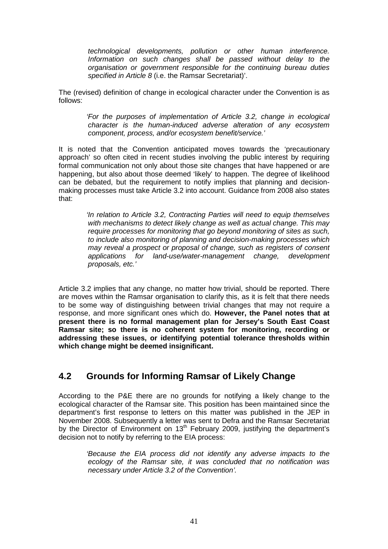technological developments, pollution or other human interference. Information on such changes shall be passed without delay to the organisation or government responsible for the continuing bureau duties specified in Article 8 (i.e. the Ramsar Secretariat)'.

The (revised) definition of change in ecological character under the Convention is as follows:

> 'For the purposes of implementation of Article 3.2, change in ecological character is the human-induced adverse alteration of any ecosystem component, process, and/or ecosystem benefit/service.'

It is noted that the Convention anticipated moves towards the 'precautionary approach' so often cited in recent studies involving the public interest by requiring formal communication not only about those site changes that have happened or are happening, but also about those deemed 'likely' to happen. The degree of likelihood can be debated, but the requirement to notify implies that planning and decisionmaking processes must take Article 3.2 into account. Guidance from 2008 also states that:

> 'In relation to Article 3.2, Contracting Parties will need to equip themselves with mechanisms to detect likely change as well as actual change. This may require processes for monitoring that go beyond monitoring of sites as such, to include also monitoring of planning and decision-making processes which may reveal a prospect or proposal of change, such as registers of consent applications for land-use/water-management change, development proposals, etc.'

Article 3.2 implies that any change, no matter how trivial, should be reported. There are moves within the Ramsar organisation to clarify this, as it is felt that there needs to be some way of distinguishing between trivial changes that may not require a response, and more significant ones which do. **However, the Panel notes that at present there is no formal management plan for Jersey's South East Coast Ramsar site; so there is no coherent system for monitoring, recording or addressing these issues, or identifying potential tolerance thresholds within which change might be deemed insignificant.** 

# **4.2 Grounds for Informing Ramsar of Likely Change**

According to the P&E there are no grounds for notifying a likely change to the ecological character of the Ramsar site. This position has been maintained since the department's first response to letters on this matter was published in the JEP in November 2008. Subsequently a letter was sent to Defra and the Ramsar Secretariat by the Director of Environment on 13<sup>th</sup> February 2009, justifying the department's decision not to notify by referring to the EIA process:

> 'Because the EIA process did not identify any adverse impacts to the ecology of the Ramsar site, it was concluded that no notification was necessary under Article 3.2 of the Convention'.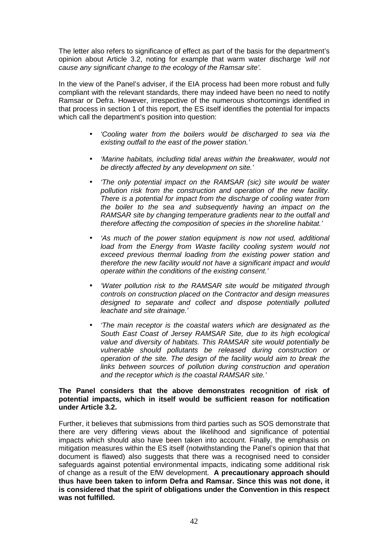The letter also refers to significance of effect as part of the basis for the department's opinion about Article 3.2, noting for example that warm water discharge 'will not cause any significant change to the ecology of the Ramsar site'.

In the view of the Panel's adviser, if the EIA process had been more robust and fully compliant with the relevant standards, there may indeed have been no need to notify Ramsar or Defra. However, irrespective of the numerous shortcomings identified in that process in section 1 of this report, the ES itself identifies the potential for impacts which call the department's position into question:

- 'Cooling water from the boilers would be discharged to sea via the existing outfall to the east of the power station.'
- 'Marine habitats, including tidal areas within the breakwater, would not be directly affected by any development on site.'
- 'The only potential impact on the RAMSAR (sic) site would be water pollution risk from the construction and operation of the new facility. There is a potential for impact from the discharge of cooling water from the boiler to the sea and subsequently having an impact on the RAMSAR site by changing temperature gradients near to the outfall and therefore affecting the composition of species in the shoreline habitat.'
- 'As much of the power station equipment is now not used, additional load from the Energy from Waste facility cooling system would not exceed previous thermal loading from the existing power station and therefore the new facility would not have a significant impact and would operate within the conditions of the existing consent.'
- 'Water pollution risk to the RAMSAR site would be mitigated through controls on construction placed on the Contractor and design measures designed to separate and collect and dispose potentially polluted leachate and site drainage.'
- 'The main receptor is the coastal waters which are designated as the South East Coast of Jersey RAMSAR Site, due to its high ecological value and diversity of habitats. This RAMSAR site would potentially be vulnerable should pollutants be released during construction or operation of the site. The design of the facility would aim to break the links between sources of pollution during construction and operation and the receptor which is the coastal RAMSAR site.'

#### **The Panel considers that the above demonstrates recognition of risk of potential impacts, which in itself would be sufficient reason for notification under Article 3.2.**

Further, it believes that submissions from third parties such as SOS demonstrate that there are very differing views about the likelihood and significance of potential impacts which should also have been taken into account. Finally, the emphasis on mitigation measures within the ES itself (notwithstanding the Panel's opinion that that document is flawed) also suggests that there was a recognised need to consider safeguards against potential environmental impacts, indicating some additional risk of change as a result of the EfW development. **A precautionary approach should thus have been taken to inform Defra and Ramsar. Since this was not done, it is considered that the spirit of obligations under the Convention in this respect was not fulfilled.**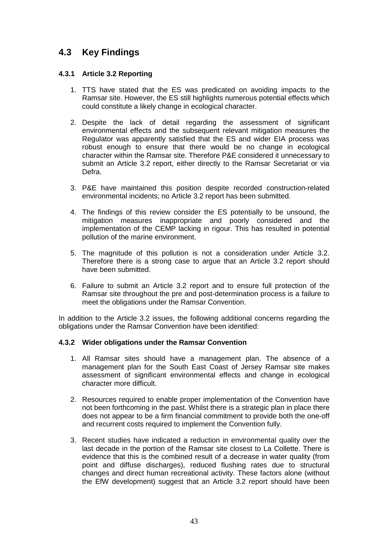# **4.3 Key Findings**

#### **4.3.1 Article 3.2 Reporting**

- 1. TTS have stated that the ES was predicated on avoiding impacts to the Ramsar site. However, the ES still highlights numerous potential effects which could constitute a likely change in ecological character.
- 2. Despite the lack of detail regarding the assessment of significant environmental effects and the subsequent relevant mitigation measures the Regulator was apparently satisfied that the ES and wider EIA process was robust enough to ensure that there would be no change in ecological character within the Ramsar site. Therefore P&E considered it unnecessary to submit an Article 3.2 report, either directly to the Ramsar Secretariat or via Defra.
- 3. P&E have maintained this position despite recorded construction-related environmental incidents; no Article 3.2 report has been submitted.
- 4. The findings of this review consider the ES potentially to be unsound, the mitigation measures inappropriate and poorly considered and the implementation of the CEMP lacking in rigour. This has resulted in potential pollution of the marine environment.
- 5. The magnitude of this pollution is not a consideration under Article 3.2. Therefore there is a strong case to argue that an Article 3.2 report should have been submitted.
- 6. Failure to submit an Article 3.2 report and to ensure full protection of the Ramsar site throughout the pre and post-determination process is a failure to meet the obligations under the Ramsar Convention.

In addition to the Article 3.2 issues, the following additional concerns regarding the obligations under the Ramsar Convention have been identified:

#### **4.3.2 Wider obligations under the Ramsar Convention**

- 1. All Ramsar sites should have a management plan. The absence of a management plan for the South East Coast of Jersey Ramsar site makes assessment of significant environmental effects and change in ecological character more difficult.
- 2. Resources required to enable proper implementation of the Convention have not been forthcoming in the past. Whilst there is a strategic plan in place there does not appear to be a firm financial commitment to provide both the one-off and recurrent costs required to implement the Convention fully.
- 3. Recent studies have indicated a reduction in environmental quality over the last decade in the portion of the Ramsar site closest to La Collette. There is evidence that this is the combined result of a decrease in water quality (from point and diffuse discharges), reduced flushing rates due to structural changes and direct human recreational activity. These factors alone (without the EfW development) suggest that an Article 3.2 report should have been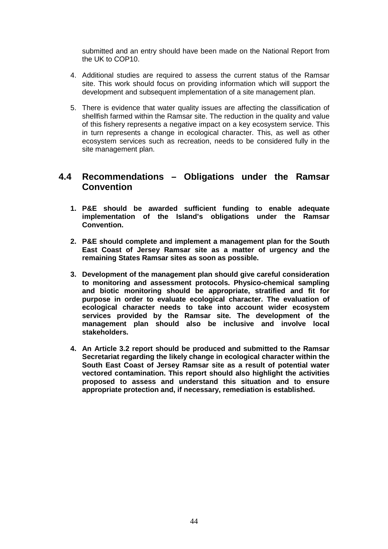submitted and an entry should have been made on the National Report from the UK to COP10.

- 4. Additional studies are required to assess the current status of the Ramsar site. This work should focus on providing information which will support the development and subsequent implementation of a site management plan.
- 5. There is evidence that water quality issues are affecting the classification of shellfish farmed within the Ramsar site. The reduction in the quality and value of this fishery represents a negative impact on a key ecosystem service. This in turn represents a change in ecological character. This, as well as other ecosystem services such as recreation, needs to be considered fully in the site management plan.

## **4.4 Recommendations – Obligations under the Ramsar Convention**

- **1. P&E should be awarded sufficient funding to enable adequate implementation of the Island's obligations under the Ramsar Convention.**
- **2. P&E should complete and implement a management plan for the South East Coast of Jersey Ramsar site as a matter of urgency and the remaining States Ramsar sites as soon as possible.**
- **3. Development of the management plan should give careful consideration to monitoring and assessment protocols. Physico-chemical sampling and biotic monitoring should be appropriate, stratified and fit for purpose in order to evaluate ecological character. The evaluation of ecological character needs to take into account wider ecosystem services provided by the Ramsar site. The development of the management plan should also be inclusive and involve local stakeholders.**
- **4. An Article 3.2 report should be produced and submitted to the Ramsar Secretariat regarding the likely change in ecological character within the South East Coast of Jersey Ramsar site as a result of potential water vectored contamination. This report should also highlight the activities proposed to assess and understand this situation and to ensure appropriate protection and, if necessary, remediation is established.**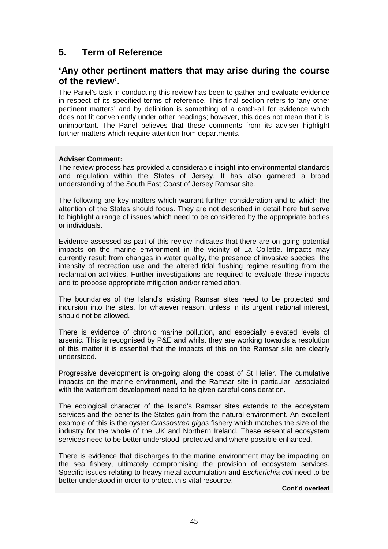# **5. Term of Reference**

## **'Any other pertinent matters that may arise during the course of the review'.**

The Panel's task in conducting this review has been to gather and evaluate evidence in respect of its specified terms of reference. This final section refers to 'any other pertinent matters' and by definition is something of a catch-all for evidence which does not fit conveniently under other headings; however, this does not mean that it is unimportant. The Panel believes that these comments from its adviser highlight further matters which require attention from departments.

#### **Adviser Comment:**

The review process has provided a considerable insight into environmental standards and regulation within the States of Jersey. It has also garnered a broad understanding of the South East Coast of Jersey Ramsar site.

The following are key matters which warrant further consideration and to which the attention of the States should focus. They are not described in detail here but serve to highlight a range of issues which need to be considered by the appropriate bodies or individuals.

Evidence assessed as part of this review indicates that there are on-going potential impacts on the marine environment in the vicinity of La Collette. Impacts may currently result from changes in water quality, the presence of invasive species, the intensity of recreation use and the altered tidal flushing regime resulting from the reclamation activities. Further investigations are required to evaluate these impacts and to propose appropriate mitigation and/or remediation.

The boundaries of the Island's existing Ramsar sites need to be protected and incursion into the sites, for whatever reason, unless in its urgent national interest, should not be allowed.

There is evidence of chronic marine pollution, and especially elevated levels of arsenic. This is recognised by P&E and whilst they are working towards a resolution of this matter it is essential that the impacts of this on the Ramsar site are clearly understood.

Progressive development is on-going along the coast of St Helier. The cumulative impacts on the marine environment, and the Ramsar site in particular, associated with the waterfront development need to be given careful consideration.

The ecological character of the Island's Ramsar sites extends to the ecosystem services and the benefits the States gain from the natural environment. An excellent example of this is the oyster *Crassostrea gigas* fishery which matches the size of the industry for the whole of the UK and Northern Ireland. These essential ecosystem services need to be better understood, protected and where possible enhanced.

There is evidence that discharges to the marine environment may be impacting on the sea fishery, ultimately compromising the provision of ecosystem services. Specific issues relating to heavy metal accumulation and Escherichia coli need to be better understood in order to protect this vital resource.

**Cont'd overleaf**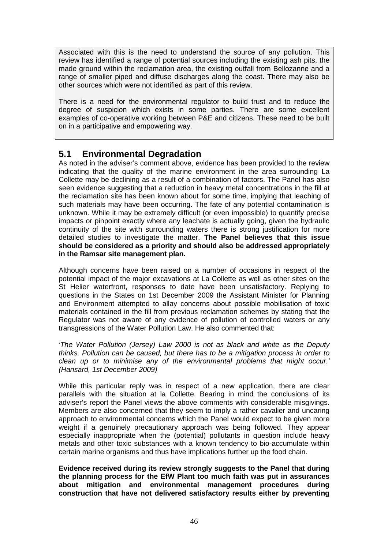Associated with this is the need to understand the source of any pollution. This review has identified a range of potential sources including the existing ash pits, the made ground within the reclamation area, the existing outfall from Bellozanne and a range of smaller piped and diffuse discharges along the coast. There may also be other sources which were not identified as part of this review.

There is a need for the environmental regulator to build trust and to reduce the degree of suspicion which exists in some parties. There are some excellent examples of co-operative working between P&E and citizens. These need to be built on in a participative and empowering way.

# **5.1 Environmental Degradation**

As noted in the adviser's comment above, evidence has been provided to the review indicating that the quality of the marine environment in the area surrounding La Collette may be declining as a result of a combination of factors. The Panel has also seen evidence suggesting that a reduction in heavy metal concentrations in the fill at the reclamation site has been known about for some time, implying that leaching of such materials may have been occurring. The fate of any potential contamination is unknown. While it may be extremely difficult (or even impossible) to quantify precise impacts or pinpoint exactly where any leachate is actually going, given the hydraulic continuity of the site with surrounding waters there is strong justification for more detailed studies to investigate the matter. **The Panel believes that this issue should be considered as a priority and should also be addressed appropriately in the Ramsar site management plan.** 

Although concerns have been raised on a number of occasions in respect of the potential impact of the major excavations at La Collette as well as other sites on the St Helier waterfront, responses to date have been unsatisfactory. Replying to questions in the States on 1st December 2009 the Assistant Minister for Planning and Environment attempted to allay concerns about possible mobilisation of toxic materials contained in the fill from previous reclamation schemes by stating that the Regulator was not aware of any evidence of pollution of controlled waters or any transgressions of the Water Pollution Law. He also commented that:

'The Water Pollution (Jersey) Law 2000 is not as black and white as the Deputy thinks. Pollution can be caused, but there has to be a mitigation process in order to clean up or to minimise any of the environmental problems that might occur.' (Hansard, 1st December 2009)

While this particular reply was in respect of a new application, there are clear parallels with the situation at la Collette. Bearing in mind the conclusions of its adviser's report the Panel views the above comments with considerable misgivings. Members are also concerned that they seem to imply a rather cavalier and uncaring approach to environmental concerns which the Panel would expect to be given more weight if a genuinely precautionary approach was being followed. They appear especially inappropriate when the (potential) pollutants in question include heavy metals and other toxic substances with a known tendency to bio-accumulate within certain marine organisms and thus have implications further up the food chain.

**Evidence received during its review strongly suggests to the Panel that during the planning process for the EfW Plant too much faith was put in assurances about mitigation and environmental management procedures during construction that have not delivered satisfactory results either by preventing**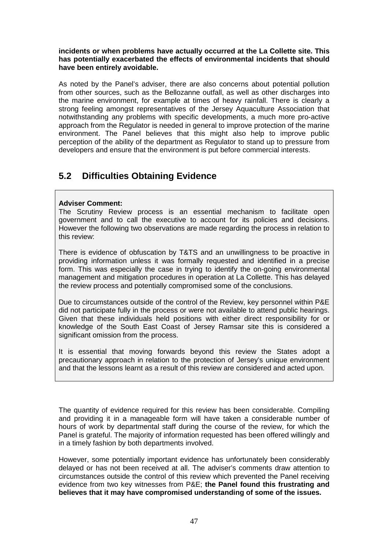**incidents or when problems have actually occurred at the La Collette site. This has potentially exacerbated the effects of environmental incidents that should have been entirely avoidable.** 

As noted by the Panel's adviser, there are also concerns about potential pollution from other sources, such as the Bellozanne outfall, as well as other discharges into the marine environment, for example at times of heavy rainfall. There is clearly a strong feeling amongst representatives of the Jersey Aquaculture Association that notwithstanding any problems with specific developments, a much more pro-active approach from the Regulator is needed in general to improve protection of the marine environment. The Panel believes that this might also help to improve public perception of the ability of the department as Regulator to stand up to pressure from developers and ensure that the environment is put before commercial interests.

# **5.2 Difficulties Obtaining Evidence**

#### **Adviser Comment:**

The Scrutiny Review process is an essential mechanism to facilitate open government and to call the executive to account for its policies and decisions. However the following two observations are made regarding the process in relation to this review:

There is evidence of obfuscation by T&TS and an unwillingness to be proactive in providing information unless it was formally requested and identified in a precise form. This was especially the case in trying to identify the on-going environmental management and mitigation procedures in operation at La Collette. This has delayed the review process and potentially compromised some of the conclusions.

Due to circumstances outside of the control of the Review, key personnel within P&E did not participate fully in the process or were not available to attend public hearings. Given that these individuals held positions with either direct responsibility for or knowledge of the South East Coast of Jersey Ramsar site this is considered a significant omission from the process.

It is essential that moving forwards beyond this review the States adopt a precautionary approach in relation to the protection of Jersey's unique environment and that the lessons learnt as a result of this review are considered and acted upon.

The quantity of evidence required for this review has been considerable. Compiling and providing it in a manageable form will have taken a considerable number of hours of work by departmental staff during the course of the review, for which the Panel is grateful. The majority of information requested has been offered willingly and in a timely fashion by both departments involved.

However, some potentially important evidence has unfortunately been considerably delayed or has not been received at all. The adviser's comments draw attention to circumstances outside the control of this review which prevented the Panel receiving evidence from two key witnesses from P&E; **the Panel found this frustrating and believes that it may have compromised understanding of some of the issues.**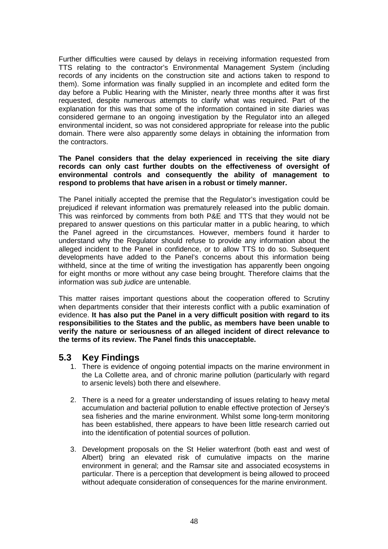Further difficulties were caused by delays in receiving information requested from TTS relating to the contractor's Environmental Management System (including records of any incidents on the construction site and actions taken to respond to them). Some information was finally supplied in an incomplete and edited form the day before a Public Hearing with the Minister, nearly three months after it was first requested, despite numerous attempts to clarify what was required. Part of the explanation for this was that some of the information contained in site diaries was considered germane to an ongoing investigation by the Regulator into an alleged environmental incident, so was not considered appropriate for release into the public domain. There were also apparently some delays in obtaining the information from the contractors.

#### **The Panel considers that the delay experienced in receiving the site diary records can only cast further doubts on the effectiveness of oversight of environmental controls and consequently the ability of management to respond to problems that have arisen in a robust or timely manner.**

The Panel initially accepted the premise that the Regulator's investigation could be prejudiced if relevant information was prematurely released into the public domain. This was reinforced by comments from both P&E and TTS that they would not be prepared to answer questions on this particular matter in a public hearing, to which the Panel agreed in the circumstances. However, members found it harder to understand why the Regulator should refuse to provide any information about the alleged incident to the Panel in confidence, or to allow TTS to do so. Subsequent developments have added to the Panel's concerns about this information being withheld, since at the time of writing the investigation has apparently been ongoing for eight months or more without any case being brought. Therefore claims that the information was sub judice are untenable.

This matter raises important questions about the cooperation offered to Scrutiny when departments consider that their interests conflict with a public examination of evidence. **It has also put the Panel in a very difficult position with regard to its responsibilities to the States and the public, as members have been unable to verify the nature or seriousness of an alleged incident of direct relevance to the terms of its review. The Panel finds this unacceptable.** 

## **5.3 Key Findings**

- 1. There is evidence of ongoing potential impacts on the marine environment in the La Collette area, and of chronic marine pollution (particularly with regard to arsenic levels) both there and elsewhere.
- 2. There is a need for a greater understanding of issues relating to heavy metal accumulation and bacterial pollution to enable effective protection of Jersey's sea fisheries and the marine environment. Whilst some long-term monitoring has been established, there appears to have been little research carried out into the identification of potential sources of pollution.
- 3. Development proposals on the St Helier waterfront (both east and west of Albert) bring an elevated risk of cumulative impacts on the marine environment in general; and the Ramsar site and associated ecosystems in particular. There is a perception that development is being allowed to proceed without adequate consideration of consequences for the marine environment.